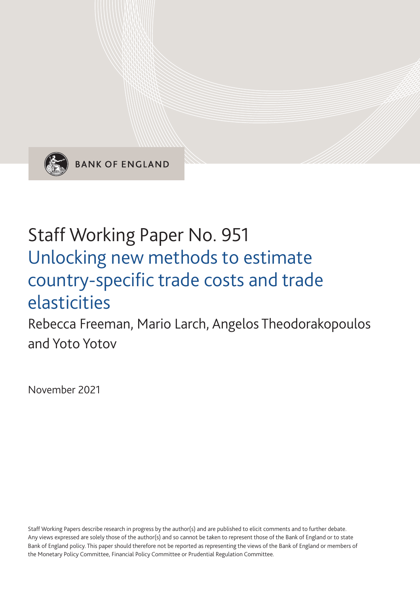

**BANK OF ENGLAND** 

# Staff Working Paper No. 951 Unlocking new methods to estimate country-specific trade costs and trade elasticities

Rebecca Freeman, Mario Larch, Angelos Theodorakopoulos and Yoto Yotov

November 2021

Staff Working Papers describe research in progress by the author(s) and are published to elicit comments and to further debate. Any views expressed are solely those of the author(s) and so cannot be taken to represent those of the Bank of England or to state Bank of England policy. This paper should therefore not be reported as representing the views of the Bank of England or members of the Monetary Policy Committee, Financial Policy Committee or Prudential Regulation Committee.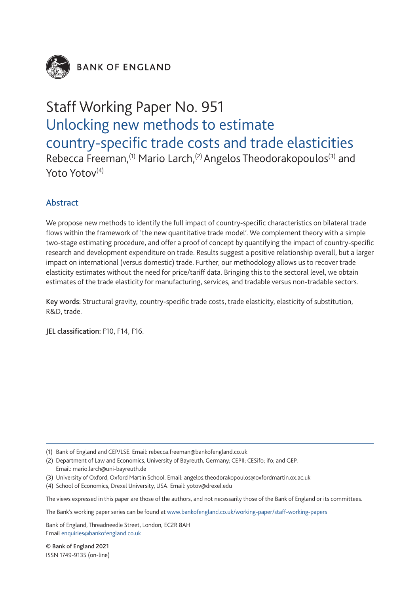

**BANK OF ENGLAND** 

# Staff Working Paper No. 951 Unlocking new methods to estimate country-specific trade costs and trade elasticities

Rebecca Freeman,<sup>(1)</sup> Mario Larch,<sup>(2)</sup> Angelos Theodorakopoulos<sup>(3)</sup> and Yoto Yotov<sup>(4)</sup>

### Abstract

We propose new methods to identify the full impact of country-specific characteristics on bilateral trade flows within the framework of 'the new quantitative trade model'. We complement theory with a simple two-stage estimating procedure, and offer a proof of concept by quantifying the impact of country-specific research and development expenditure on trade. Results suggest a positive relationship overall, but a larger impact on international (versus domestic) trade. Further, our methodology allows us to recover trade elasticity estimates without the need for price/tariff data. Bringing this to the sectoral level, we obtain estimates of the trade elasticity for manufacturing, services, and tradable versus non-tradable sectors.

Key words: Structural gravity, country-specific trade costs, trade elasticity, elasticity of substitution, R&D, trade.

JEL classification: F10, F14, F16.

- (2) Department of Law and Economics, University of Bayreuth, Germany; CEPII; CESifo; ifo; and GEP. Email: mario.larch@uni-bayreuth.de
- (3) University of Oxford, Oxford Martin School. Email: angelos.theodorakopoulos@oxfordmartin.ox.ac.uk
- (4) School of Economics, Drexel University, USA. Email: yotov@drexel.edu

The views expressed in this paper are those of the authors, and not necessarily those of the Bank of England or its committees.

The Bank's working paper series can be found at www.bankofengland.co.uk/working-paper/staff-working-papers

Bank of England, Threadneedle Street, London, EC2R 8AH Email enquiries@bankofengland.co.uk

© Bank of England 2021 ISSN 1749-9135 (on-line)

<sup>(1)</sup> Bank of England and CEP/LSE. Email: rebecca.freeman@bankofengland.co.uk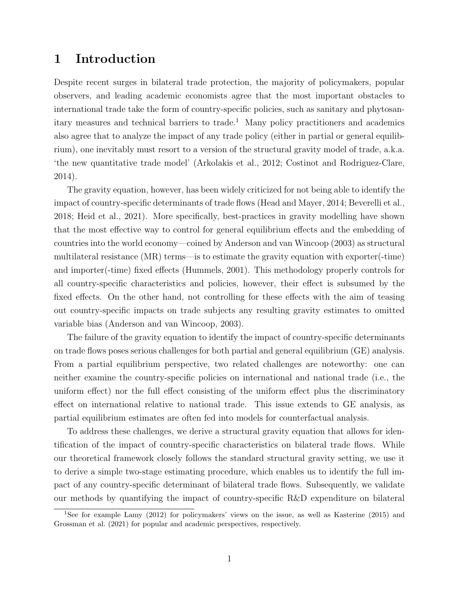# <span id="page-2-0"></span>1 Introduction

Despite recent surges in bilateral trade protection, the majority of policymakers, popular observers, and leading academic economists agree that the most important obstacles to international trade take the form of country-specific policies, such as sanitary and phytosanitary measures and technical barriers to trade.<sup>1</sup> Many policy practitioners and academics also agree that to analyze the impact of any trade policy (either in partial or general equilibrium), one inevitably must resort to a version of the structural gravity model of trade, a.k.a. 'the new quantitative trade model' [\(Arkolakis et al., 2012;](#page-30-0) [Costinot and Rodriguez-Clare,](#page-31-0) [2014\)](#page-31-0).

The gravity equation, however, has been widely criticized for not being able to identify the impact of country-specific determinants of trade flows [\(Head and Mayer, 2014;](#page-31-1) [Beverelli et al.,](#page-30-1) [2018;](#page-30-1) [Heid et al., 2021\)](#page-32-0). More specifically, best-practices in gravity modelling have shown that the most effective way to control for general equilibrium effects and the embedding of countries into the world economy—coined by [Anderson and van Wincoop](#page-30-2) [\(2003\)](#page-30-2) as structural multilateral resistance (MR) terms—is to estimate the gravity equation with exporter(-time) and importer(-time) fixed effects [\(Hummels, 2001\)](#page-32-1). This methodology properly controls for all country-specific characteristics and policies, however, their effect is subsumed by the fixed effects. On the other hand, not controlling for these effects with the aim of teasing out country-specific impacts on trade subjects any resulting gravity estimates to omitted variable bias [\(Anderson and van Wincoop, 2003\)](#page-30-2).

The failure of the gravity equation to identify the impact of country-specific determinants on trade flows poses serious challenges for both partial and general equilibrium (GE) analysis. From a partial equilibrium perspective, two related challenges are noteworthy: one can neither examine the country-specific policies on international and national trade (i.e., the uniform effect) nor the full effect consisting of the uniform effect plus the discriminatory effect on international relative to national trade. This issue extends to GE analysis, as partial equilibrium estimates are often fed into models for counterfactual analysis.

To address these challenges, we derive a structural gravity equation that allows for identification of the impact of country-specific characteristics on bilateral trade flows. While our theoretical framework closely follows the standard structural gravity setting, we use it to derive a simple two-stage estimating procedure, which enables us to identify the full impact of any country-specific determinant of bilateral trade flows. Subsequently, we validate our methods by quantifying the impact of country-specific R&D expenditure on bilateral

<sup>&</sup>lt;sup>1</sup>See for example [Lamy](#page-32-2) [\(2012\)](#page-32-2) for policymakers' views on the issue, as well as [Kasterine](#page-32-3) [\(2015\)](#page-32-3) and [Grossman et al.](#page-31-2) [\(2021\)](#page-31-2) for popular and academic perspectives, respectively.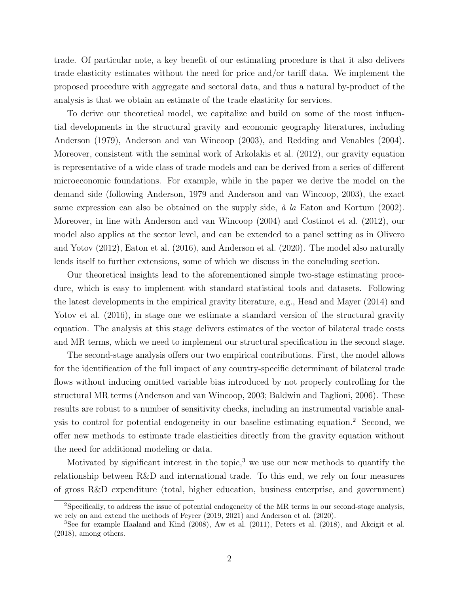trade. Of particular note, a key benefit of our estimating procedure is that it also delivers trade elasticity estimates without the need for price and/or tariff data. We implement the proposed procedure with aggregate and sectoral data, and thus a natural by-product of the analysis is that we obtain an estimate of the trade elasticity for services.

To derive our theoretical model, we capitalize and build on some of the most influential developments in the structural gravity and economic geography literatures, including [Anderson](#page-30-3) [\(1979\)](#page-30-3), [Anderson and van Wincoop](#page-30-2) [\(2003\)](#page-30-2), and [Redding and Venables](#page-32-4) [\(2004\)](#page-32-4). Moreover, consistent with the seminal work of [Arkolakis et al.](#page-30-0) [\(2012\)](#page-30-0), our gravity equation is representative of a wide class of trade models and can be derived from a series of different microeconomic foundations. For example, while in the paper we derive the model on the demand side (following [Anderson, 1979](#page-30-3) and [Anderson and van Wincoop, 2003\)](#page-30-2), the exact same expression can also be obtained on the supply side,  $\dot{a}$  la [Eaton and Kortum](#page-31-3) [\(2002\)](#page-31-3). Moreover, in line with [Anderson and van Wincoop](#page-30-4) [\(2004\)](#page-30-4) and [Costinot et al.](#page-31-4) [\(2012\)](#page-31-4), our model also applies at the sector level, and can be extended to a panel setting as in [Olivero](#page-32-5) [and Yotov](#page-32-5) [\(2012\)](#page-32-5), [Eaton et al.](#page-31-5) [\(2016\)](#page-31-5), and [Anderson et al.](#page-30-5) [\(2020\)](#page-30-5). The model also naturally lends itself to further extensions, some of which we discuss in the concluding section.

Our theoretical insights lead to the aforementioned simple two-stage estimating procedure, which is easy to implement with standard statistical tools and datasets. Following the latest developments in the empirical gravity literature, e.g., [Head and Mayer](#page-31-1) [\(2014\)](#page-31-1) and [Yotov et al.](#page-33-0) [\(2016\)](#page-33-0), in stage one we estimate a standard version of the structural gravity equation. The analysis at this stage delivers estimates of the vector of bilateral trade costs and MR terms, which we need to implement our structural specification in the second stage.

The second-stage analysis offers our two empirical contributions. First, the model allows for the identification of the full impact of any country-specific determinant of bilateral trade flows without inducing omitted variable bias introduced by not properly controlling for the structural MR terms [\(Anderson and van Wincoop, 2003;](#page-30-2) [Baldwin and Taglioni, 2006\)](#page-30-6). These results are robust to a number of sensitivity checks, including an instrumental variable analysis to control for potential endogeneity in our baseline estimating equation.[2](#page-2-0) Second, we offer new methods to estimate trade elasticities directly from the gravity equation without the need for additional modeling or data.

Motivated by significant interest in the topic, $3$  we use our new methods to quantify the relationship between R&D and international trade. To this end, we rely on four measures of gross R&D expenditure (total, higher education, business enterprise, and government)

<sup>2</sup>Specifically, to address the issue of potential endogeneity of the MR terms in our second-stage analysis, we rely on and extend the methods of [Feyrer](#page-31-6) [\(2019,](#page-31-6) [2021\)](#page-31-7) and [Anderson et al.](#page-30-5) [\(2020\)](#page-30-5).

<sup>3</sup>See for example [Haaland and Kind](#page-31-8) [\(2008\)](#page-31-8), [Aw et al.](#page-30-7) [\(2011\)](#page-30-7), [Peters et al.](#page-32-6) [\(2018\)](#page-32-6), and [Akcigit et al.](#page-30-8) [\(2018\)](#page-30-8), among others.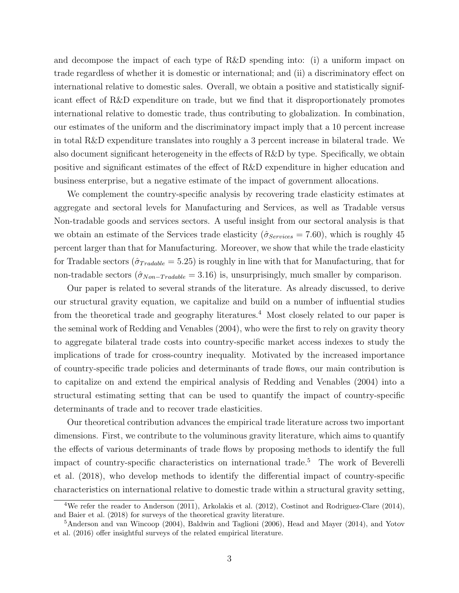and decompose the impact of each type of R&D spending into: (i) a uniform impact on trade regardless of whether it is domestic or international; and (ii) a discriminatory effect on international relative to domestic sales. Overall, we obtain a positive and statistically significant effect of R&D expenditure on trade, but we find that it disproportionately promotes international relative to domestic trade, thus contributing to globalization. In combination, our estimates of the uniform and the discriminatory impact imply that a 10 percent increase in total R&D expenditure translates into roughly a 3 percent increase in bilateral trade. We also document significant heterogeneity in the effects of R&D by type. Specifically, we obtain positive and significant estimates of the effect of R&D expenditure in higher education and business enterprise, but a negative estimate of the impact of government allocations.

We complement the country-specific analysis by recovering trade elasticity estimates at aggregate and sectoral levels for Manufacturing and Services, as well as Tradable versus Non-tradable goods and services sectors. A useful insight from our sectoral analysis is that we obtain an estimate of the Services trade elasticity ( $\hat{\sigma}_{Services} = 7.60$ ), which is roughly 45 percent larger than that for Manufacturing. Moreover, we show that while the trade elasticity for Tradable sectors ( $\hat{\sigma}_{Tradable} = 5.25$ ) is roughly in line with that for Manufacturing, that for non-tradable sectors  $(\hat{\sigma}_{Non-Tradable} = 3.16)$  is, unsurprisingly, much smaller by comparison.

Our paper is related to several strands of the literature. As already discussed, to derive our structural gravity equation, we capitalize and build on a number of influential studies from the theoretical trade and geography literatures.<sup>[4](#page-2-0)</sup> Most closely related to our paper is the seminal work of [Redding and Venables](#page-32-4) [\(2004\)](#page-32-4), who were the first to rely on gravity theory to aggregate bilateral trade costs into country-specific market access indexes to study the implications of trade for cross-country inequality. Motivated by the increased importance of country-specific trade policies and determinants of trade flows, our main contribution is to capitalize on and extend the empirical analysis of [Redding and Venables](#page-32-4) [\(2004\)](#page-32-4) into a structural estimating setting that can be used to quantify the impact of country-specific determinants of trade and to recover trade elasticities.

Our theoretical contribution advances the empirical trade literature across two important dimensions. First, we contribute to the voluminous gravity literature, which aims to quantify the effects of various determinants of trade flows by proposing methods to identify the full impact of country-specific characteristics on international trade.[5](#page-2-0) The work of [Beverelli](#page-30-1) [et al.](#page-30-1) [\(2018\)](#page-30-1), who develop methods to identify the differential impact of country-specific characteristics on international relative to domestic trade within a structural gravity setting,

<sup>4</sup>We refer the reader to [Anderson](#page-30-9) [\(2011\)](#page-30-9), [Arkolakis et al.](#page-30-0) [\(2012\)](#page-30-0), [Costinot and Rodriguez-Clare](#page-31-0) [\(2014\)](#page-31-0), and [Baier et al.](#page-30-10) [\(2018\)](#page-30-10) for surveys of the theoretical gravity literature.

<sup>&</sup>lt;sup>5</sup>[Anderson and van Wincoop](#page-30-4) [\(2004\)](#page-30-4), [Baldwin and Taglioni](#page-30-6) [\(2006\)](#page-30-6), [Head and Mayer](#page-31-1) [\(2014\)](#page-31-1), and [Yotov](#page-33-0) [et al.](#page-33-0) [\(2016\)](#page-33-0) offer insightful surveys of the related empirical literature.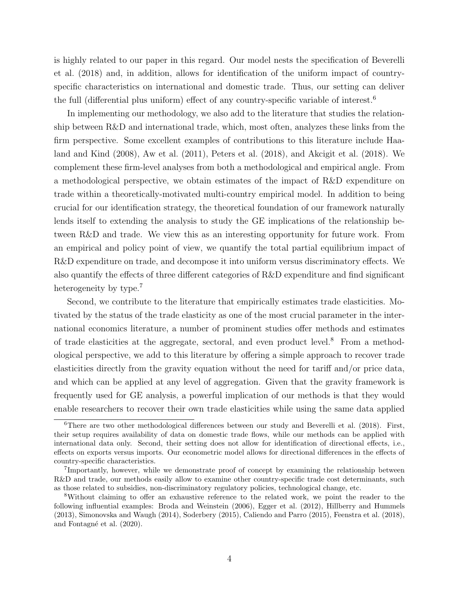is highly related to our paper in this regard. Our model nests the specification of [Beverelli](#page-30-1) [et al.](#page-30-1) [\(2018\)](#page-30-1) and, in addition, allows for identification of the uniform impact of countryspecific characteristics on international and domestic trade. Thus, our setting can deliver the full (differential plus uniform) effect of any country-specific variable of interest.[6](#page-2-0)

In implementing our methodology, we also add to the literature that studies the relationship between R&D and international trade, which, most often, analyzes these links from the firm perspective. Some excellent examples of contributions to this literature include [Haa](#page-31-8)[land and Kind](#page-31-8) [\(2008\)](#page-31-8), [Aw et al.](#page-30-7) [\(2011\)](#page-30-7), [Peters et al.](#page-32-6) [\(2018\)](#page-32-6), and [Akcigit et al.](#page-30-8) [\(2018\)](#page-30-8). We complement these firm-level analyses from both a methodological and empirical angle. From a methodological perspective, we obtain estimates of the impact of R&D expenditure on trade within a theoretically-motivated multi-country empirical model. In addition to being crucial for our identification strategy, the theoretical foundation of our framework naturally lends itself to extending the analysis to study the GE implications of the relationship between R&D and trade. We view this as an interesting opportunity for future work. From an empirical and policy point of view, we quantify the total partial equilibrium impact of R&D expenditure on trade, and decompose it into uniform versus discriminatory effects. We also quantify the effects of three different categories of R&D expenditure and find significant heterogeneity by type.<sup>[7](#page-2-0)</sup>

Second, we contribute to the literature that empirically estimates trade elasticities. Motivated by the status of the trade elasticity as one of the most crucial parameter in the international economics literature, a number of prominent studies offer methods and estimates of trade elasticities at the aggregate, sectoral, and even product level.<sup>[8](#page-2-0)</sup> From a methodological perspective, we add to this literature by offering a simple approach to recover trade elasticities directly from the gravity equation without the need for tariff and/or price data, and which can be applied at any level of aggregation. Given that the gravity framework is frequently used for GE analysis, a powerful implication of our methods is that they would enable researchers to recover their own trade elasticities while using the same data applied

<sup>6</sup>There are two other methodological differences between our study and [Beverelli et al.](#page-30-1) [\(2018\)](#page-30-1). First, their setup requires availability of data on domestic trade flows, while our methods can be applied with international data only. Second, their setting does not allow for identification of directional effects, i.e., effects on exports versus imports. Our econometric model allows for directional differences in the effects of country-specific characteristics.

<sup>&</sup>lt;sup>7</sup>Importantly, however, while we demonstrate proof of concept by examining the relationship between R&D and trade, our methods easily allow to examine other country-specific trade cost determinants, such as those related to subsidies, non-discriminatory regulatory policies, technological change, etc.

<sup>8</sup>Without claiming to offer an exhaustive reference to the related work, we point the reader to the following influential examples: [Broda and Weinstein](#page-30-11) [\(2006\)](#page-30-11), [Egger et al.](#page-31-9) [\(2012\)](#page-31-9), [Hillberry and Hummels](#page-32-7) [\(2013\)](#page-32-7), [Simonovska and Waugh](#page-32-8) [\(2014\)](#page-32-8), [Soderbery](#page-32-9) [\(2015\)](#page-32-9), [Caliendo and Parro](#page-31-10) [\(2015\)](#page-31-10), [Feenstra et al.](#page-31-11) [\(2018\)](#page-31-11), and Fontagné et al. [\(2020\)](#page-31-12).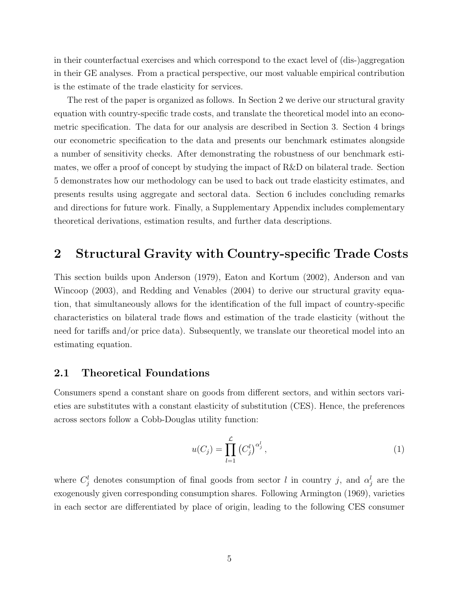in their counterfactual exercises and which correspond to the exact level of (dis-)aggregation in their GE analyses. From a practical perspective, our most valuable empirical contribution is the estimate of the trade elasticity for services.

The rest of the paper is organized as follows. In Section [2](#page-6-0) we derive our structural gravity equation with country-specific trade costs, and translate the theoretical model into an econometric specification. The data for our analysis are described in Section [3.](#page-13-0) Section [4](#page-14-0) brings our econometric specification to the data and presents our benchmark estimates alongside a number of sensitivity checks. After demonstrating the robustness of our benchmark estimates, we offer a proof of concept by studying the impact of R&D on bilateral trade. Section [5](#page-23-0) demonstrates how our methodology can be used to back out trade elasticity estimates, and presents results using aggregate and sectoral data. Section [6](#page-28-0) includes concluding remarks and directions for future work. Finally, a Supplementary Appendix includes complementary theoretical derivations, estimation results, and further data descriptions.

# <span id="page-6-0"></span>2 Structural Gravity with Country-specific Trade Costs

This section builds upon [Anderson](#page-30-3) [\(1979\)](#page-30-3), [Eaton and Kortum](#page-31-3) [\(2002\)](#page-31-3), [Anderson and van](#page-30-2) [Wincoop](#page-30-2) [\(2003\)](#page-30-2), and [Redding and Venables](#page-32-4) [\(2004\)](#page-32-4) to derive our structural gravity equation, that simultaneously allows for the identification of the full impact of country-specific characteristics on bilateral trade flows and estimation of the trade elasticity (without the need for tariffs and/or price data). Subsequently, we translate our theoretical model into an estimating equation.

#### <span id="page-6-1"></span>2.1 Theoretical Foundations

Consumers spend a constant share on goods from different sectors, and within sectors varieties are substitutes with a constant elasticity of substitution (CES). Hence, the preferences across sectors follow a Cobb-Douglas utility function:

$$
u(C_j) = \prod_{l=1}^{\mathcal{L}} \left( C_j^l \right)^{\alpha_j^l},\tag{1}
$$

where  $C_j^l$  denotes consumption of final goods from sector l in country j, and  $\alpha_j^l$  are the exogenously given corresponding consumption shares. Following [Armington](#page-30-12) [\(1969\)](#page-30-12), varieties in each sector are differentiated by place of origin, leading to the following CES consumer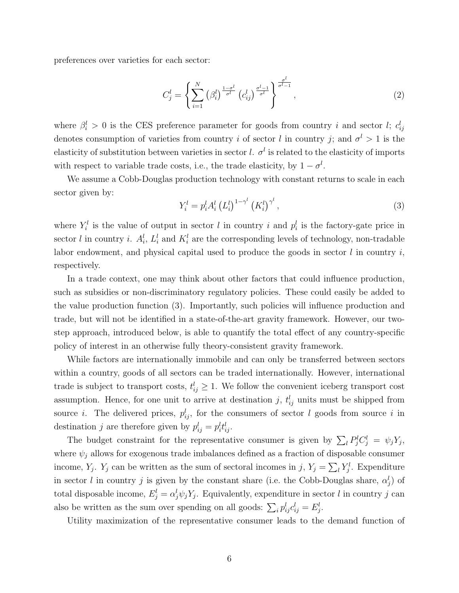preferences over varieties for each sector:

$$
C_j^l = \left\{ \sum_{i=1}^N \left( \beta_i^l \right)^{\frac{1-\sigma^l}{\sigma^l}} \left( c_{ij}^l \right)^{\frac{\sigma^l-1}{\sigma^l}} \right\}^{\frac{\sigma^l}{\sigma^l-1}},\tag{2}
$$

where  $\beta_i^l > 0$  is the CES preference parameter for goods from country i and sector l;  $c_{ij}^l$ denotes consumption of varieties from country i of sector l in country j; and  $\sigma^l > 1$  is the elasticity of substitution between varieties in sector l.  $\sigma^l$  is related to the elasticity of imports with respect to variable trade costs, i.e., the trade elasticity, by  $1 - \sigma^l$ .

We assume a Cobb-Douglas production technology with constant returns to scale in each sector given by:

<span id="page-7-0"></span>
$$
Y_i^l = p_i^l A_i^l (L_i^l)^{1 - \gamma^l} (K_i^l)^{\gamma^l}, \qquad (3)
$$

where  $Y_i^l$  is the value of output in sector l in country i and  $p_i^l$  is the factory-gate price in sector l in country i.  $A_i^l$ ,  $L_i^l$  and  $K_i^l$  are the corresponding levels of technology, non-tradable labor endowment, and physical capital used to produce the goods in sector  $l$  in country  $i$ , respectively.

In a trade context, one may think about other factors that could influence production, such as subsidies or non-discriminatory regulatory policies. These could easily be added to the value production function [\(3\)](#page-7-0). Importantly, such policies will influence production and trade, but will not be identified in a state-of-the-art gravity framework. However, our twostep approach, introduced below, is able to quantify the total effect of any country-specific policy of interest in an otherwise fully theory-consistent gravity framework.

While factors are internationally immobile and can only be transferred between sectors within a country, goods of all sectors can be traded internationally. However, international trade is subject to transport costs,  $t_{ij}^l \geq 1$ . We follow the convenient iceberg transport cost assumption. Hence, for one unit to arrive at destination j,  $t_{ij}^l$  units must be shipped from source *i*. The delivered prices,  $p_{ij}^l$ , for the consumers of sector *l* goods from source *i* in destination j are therefore given by  $p_{ij}^l = p_i^l t_{ij}^l$ .

The budget constraint for the representative consumer is given by  $\sum_l P_j^l C_j^l = \psi_j Y_j$ , where  $\psi_i$  allows for exogenous trade imbalances defined as a fraction of disposable consumer income,  $Y_j$ .  $Y_j$  can be written as the sum of sectoral incomes in j,  $Y_j = \sum_l Y_j^l$ . Expenditure in sector l in country j is given by the constant share (i.e. the Cobb-Douglas share,  $\alpha_j^l$ ) of total disposable income,  $E_j^l = \alpha_j^l \psi_j Y_j$ . Equivalently, expenditure in sector l in country j can also be written as the sum over spending on all goods:  $\sum_i p_{ij}^l c_{ij}^l = E_j^l$ .

Utility maximization of the representative consumer leads to the demand function of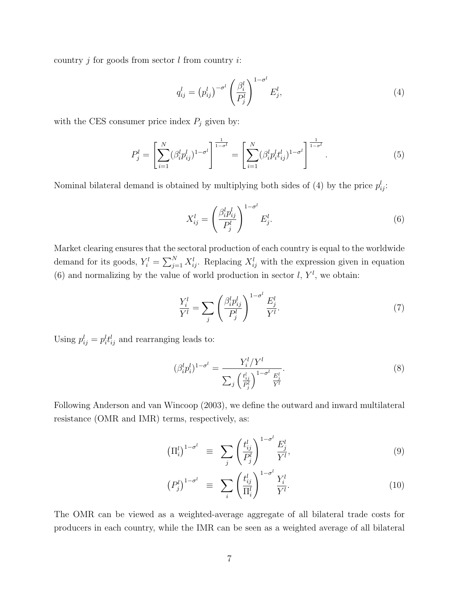country  $j$  for goods from sector  $l$  from country  $i$ :

<span id="page-8-0"></span>
$$
q_{ij}^l = (p_{ij}^l)^{-\sigma^l} \left(\frac{\beta_i^l}{P_j^l}\right)^{1-\sigma^l} E_j^l,
$$
\n(4)

with the CES consumer price index  $P_j$  given by:

$$
P_j^l = \left[\sum_{i=1}^N (\beta_i^l p_{ij}^l)^{1-\sigma^l}\right]^{\frac{1}{1-\sigma^l}} = \left[\sum_{i=1}^N (\beta_i^l p_i^l t_{ij}^l)^{1-\sigma^l}\right]^{\frac{1}{1-\sigma^l}}.
$$
\n(5)

Nominal bilateral demand is obtained by multiplying both sides of [\(4\)](#page-8-0) by the price  $p_{ij}^l$ :

<span id="page-8-1"></span>
$$
X_{ij}^l = \left(\frac{\beta_i^l p_{ij}^l}{P_j^l}\right)^{1-\sigma^l} E_j^l.
$$
\n
$$
(6)
$$

Market clearing ensures that the sectoral production of each country is equal to the worldwide demand for its goods,  $Y_i^l = \sum_{j=1}^N X_{ij}^l$ . Replacing  $X_{ij}^l$  with the expression given in equation [\(6\)](#page-8-1) and normalizing by the value of world production in sector  $l, Y^l$ , we obtain:

$$
\frac{Y_i^l}{Y^l} = \sum_j \left(\frac{\beta_i^l p_{ij}^l}{P_j^l}\right)^{1-\sigma^l} \frac{E_j^l}{Y^l}.\tag{7}
$$

Using  $p_{ij}^l = p_i^l t_{ij}^l$  and rearranging leads to:

<span id="page-8-2"></span>
$$
(\beta_i^l p_i^l)^{1-\sigma^l} = \frac{Y_i^l / Y^l}{\sum_j \left(\frac{t_{ij}^l}{P_j^l}\right)^{1-\sigma^l} \frac{E_j^l}{Y^l}}.
$$
\n(8)

Following [Anderson and van Wincoop](#page-30-2) [\(2003\)](#page-30-2), we define the outward and inward multilateral resistance (OMR and IMR) terms, respectively, as:

$$
\left(\Pi_i^l\right)^{1-\sigma^l} \equiv \sum_j \left(\frac{t_{ij}^l}{P_j^l}\right)^{1-\sigma^l} \frac{E_j^l}{Y^l},\tag{9}
$$

$$
\left(P_j^l\right)^{1-\sigma^l} \equiv \sum_i \left(\frac{t_{ij}^l}{\Pi_i^l}\right)^{1-\sigma^l} \frac{Y_i^l}{Y^l}.
$$
\n(10)

The OMR can be viewed as a weighted-average aggregate of all bilateral trade costs for producers in each country, while the IMR can be seen as a weighted average of all bilateral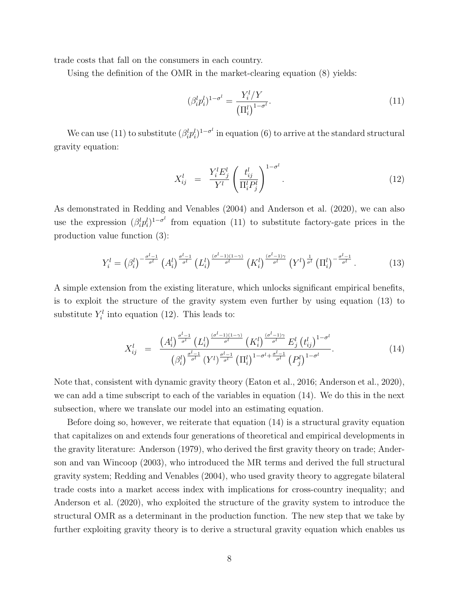trade costs that fall on the consumers in each country.

Using the definition of the OMR in the market-clearing equation [\(8\)](#page-8-2) yields:

<span id="page-9-0"></span>
$$
(\beta_i^l p_i^l)^{1-\sigma^l} = \frac{Y_i^l/Y}{\left(\Pi_i^l\right)^{1-\sigma^l}}.
$$
\n(11)

We can use [\(11\)](#page-9-0) to substitute  $(\beta_i^l p_i^l)^{1-\sigma^l}$  in equation [\(6\)](#page-8-1) to arrive at the standard structural gravity equation:

<span id="page-9-2"></span>
$$
X_{ij}^l = \frac{Y_i^l E_j^l}{Y^l} \left(\frac{t_{ij}^l}{\Pi_i^l P_j^l}\right)^{1-\sigma^l}.
$$
\n(12)

As demonstrated in [Redding and Venables](#page-32-4) [\(2004\)](#page-32-4) and [Anderson et al.](#page-30-5) [\(2020\)](#page-30-5), we can also use the expression  $(\beta_i^l p_i^l)^{1-\sigma^l}$  from equation [\(11\)](#page-9-0) to substitute factory-gate prices in the production value function [\(3\)](#page-7-0):

<span id="page-9-1"></span>
$$
Y_i^l = \left(\beta_i^l\right)^{-\frac{\sigma^l-1}{\sigma^l}} \left(A_i^l\right)^{\frac{\sigma^l-1}{\sigma^l}} \left(L_i^l\right)^{\frac{(\sigma^l-1)(1-\gamma)}{\sigma^l}} \left(K_i^l\right)^{\frac{(\sigma^l-1)\gamma}{\sigma^l}} \left(Y^l\right)^{\frac{1}{\sigma^l}} \left(\Pi_i^l\right)^{-\frac{\sigma^l-1}{\sigma^l}}.\tag{13}
$$

A simple extension from the existing literature, which unlocks significant empirical benefits, is to exploit the structure of the gravity system even further by using equation [\(13\)](#page-9-1) to substitute  $Y_i^l$  into equation [\(12\)](#page-9-2). This leads to:

<span id="page-9-3"></span>
$$
X_{ij}^l = \frac{\left(A_i^l\right)^{\frac{\sigma^l-1}{\sigma^l}} \left(L_i^l\right)^{\frac{(\sigma^l-1)(1-\gamma)}{\sigma^l}} \left(K_i^l\right)^{\frac{(\sigma^l-1)\gamma}{\sigma^l}} E_j^l \left(t_{ij}^l\right)^{1-\sigma^l}}{\left(\beta_i^l\right)^{\frac{\sigma^l-1}{\sigma^l}} \left(V^l\right)^{\frac{\sigma^l-1}{\sigma^l}} \left(\Pi_i^l\right)^{1-\sigma^l+\frac{\sigma^l-1}{\sigma^l}} \left(P_j^l\right)^{1-\sigma^l}}.
$$
\n(14)

Note that, consistent with dynamic gravity theory [\(Eaton et al., 2016;](#page-31-5) [Anderson et al., 2020\)](#page-30-5), we can add a time subscript to each of the variables in equation [\(14\)](#page-9-3). We do this in the next subsection, where we translate our model into an estimating equation.

Before doing so, however, we reiterate that equation [\(14\)](#page-9-3) is a structural gravity equation that capitalizes on and extends four generations of theoretical and empirical developments in the gravity literature: [Anderson](#page-30-3) [\(1979\)](#page-30-3), who derived the first gravity theory on trade; [Ander](#page-30-2)[son and van Wincoop](#page-30-2) [\(2003\)](#page-30-2), who introduced the MR terms and derived the full structural gravity system; [Redding and Venables](#page-32-4) [\(2004\)](#page-32-4), who used gravity theory to aggregate bilateral trade costs into a market access index with implications for cross-country inequality; and [Anderson et al.](#page-30-5) [\(2020\)](#page-30-5), who exploited the structure of the gravity system to introduce the structural OMR as a determinant in the production function. The new step that we take by further exploiting gravity theory is to derive a structural gravity equation which enables us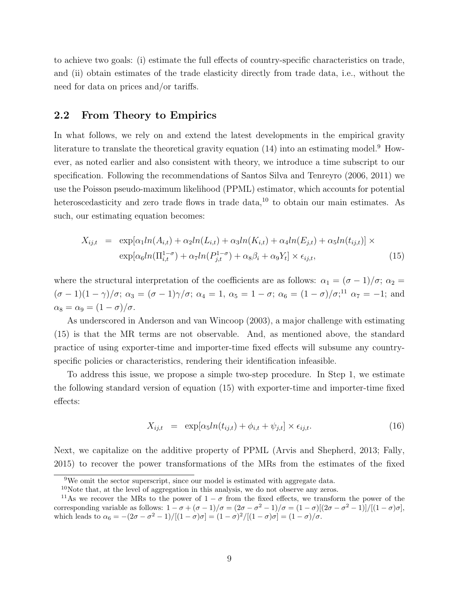to achieve two goals: (i) estimate the full effects of country-specific characteristics on trade, and (ii) obtain estimates of the trade elasticity directly from trade data, i.e., without the need for data on prices and/or tariffs.

#### <span id="page-10-2"></span>2.2 From Theory to Empirics

In what follows, we rely on and extend the latest developments in the empirical gravity literature to translate the theoretical gravity equation  $(14)$  into an estimating model.<sup>[9](#page-2-0)</sup> However, as noted earlier and also consistent with theory, we introduce a time subscript to our specification. Following the recommendations of [Santos Silva and Tenreyro](#page-32-10) [\(2006,](#page-32-10) [2011\)](#page-32-11) we use the Poisson pseudo-maximum likelihood (PPML) estimator, which accounts for potential heteroscedasticity and zero trade flows in trade data, $^{10}$  $^{10}$  $^{10}$  to obtain our main estimates. As such, our estimating equation becomes:

<span id="page-10-0"></span>
$$
X_{ij,t} = \exp[\alpha_1 ln(A_{i,t}) + \alpha_2 ln(L_{i,t}) + \alpha_3 ln(K_{i,t}) + \alpha_4 ln(E_{j,t}) + \alpha_5 ln(t_{ij,t})] \times
$$
  
\n
$$
\exp[\alpha_6 ln(\Pi_{i,t}^{1-\sigma}) + \alpha_7 ln(P_{j,t}^{1-\sigma}) + \alpha_8 \beta_i + \alpha_9 Y_t] \times \epsilon_{ij,t},
$$
\n(15)

where the structural interpretation of the coefficients are as follows:  $\alpha_1 = (\sigma - 1)/\sigma$ ;  $\alpha_2 =$  $(\sigma - 1)(1 - \gamma)/\sigma$ ;  $\alpha_3 = (\sigma - 1)\gamma/\sigma$ ;  $\alpha_4 = 1$ ,  $\alpha_5 = 1 - \sigma$ ;  $\alpha_6 = (1 - \sigma)/\sigma$ ;<sup>[11](#page-2-0)</sup>,  $\alpha_7 = -1$ ; and  $\alpha_8 = \alpha_9 = (1 - \sigma)/\sigma.$ 

As underscored in [Anderson and van Wincoop](#page-30-2) [\(2003\)](#page-30-2), a major challenge with estimating [\(15\)](#page-10-0) is that the MR terms are not observable. And, as mentioned above, the standard practice of using exporter-time and importer-time fixed effects will subsume any countryspecific policies or characteristics, rendering their identification infeasible.

To address this issue, we propose a simple two-step procedure. In Step 1, we estimate the following standard version of equation [\(15\)](#page-10-0) with exporter-time and importer-time fixed effects:

<span id="page-10-1"></span>
$$
X_{ij,t} = \exp[\alpha_5 ln(t_{ij,t}) + \phi_{i,t} + \psi_{j,t}] \times \epsilon_{ij,t}.
$$
\n(16)

Next, we capitalize on the additive property of PPML [\(Arvis and Shepherd, 2013;](#page-30-13) [Fally,](#page-31-13) [2015\)](#page-31-13) to recover the power transformations of the MRs from the estimates of the fixed

<sup>9</sup>We omit the sector superscript, since our model is estimated with aggregate data.

 $10$ Note that, at the level of aggregation in this analysis, we do not observe any zeros.

<sup>&</sup>lt;sup>11</sup>As we recover the MRs to the power of  $1 - \sigma$  from the fixed effects, we transform the power of the corresponding variable as follows:  $1 - \sigma + (\sigma - 1)/\sigma = (2\sigma - \sigma^2 - 1)/\sigma = (1 - \sigma)[(2\sigma - \sigma^2 - 1)]/[(1 - \sigma)\sigma]$ , which leads to  $\alpha_6 = -(2\sigma - \sigma^2 - 1)/[(1 - \sigma)\sigma] = (1 - \sigma)^2/[(1 - \sigma)\sigma] = (1 - \sigma)/\sigma$ .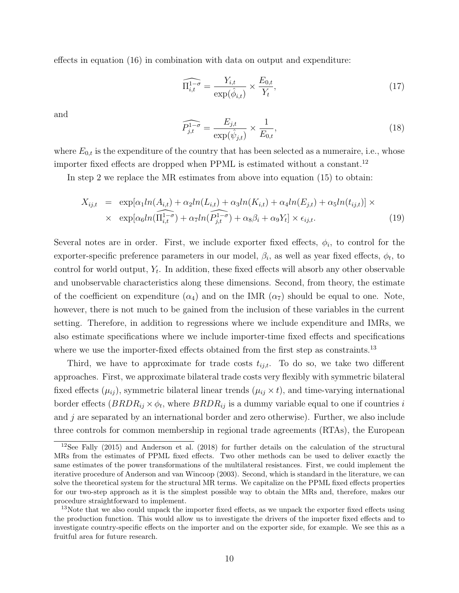effects in equation [\(16\)](#page-10-1) in combination with data on output and expenditure:

<span id="page-11-1"></span><span id="page-11-0"></span>
$$
\widehat{\Pi_{i,t}^{1-\sigma}} = \frac{Y_{i,t}}{\exp(\hat{\phi}_{i,t})} \times \frac{E_{0,t}}{Y_t},\tag{17}
$$

and 
$$
\widehat{P_{j,t}^{1-\sigma}} = \frac{E_{j,t}}{\exp(\hat{\psi}_{j,t})} \times \frac{1}{E_{0,t}},
$$
\n(18)

where  $E_{0,t}$  is the expenditure of the country that has been selected as a numeraire, i.e., whose importer fixed effects are dropped when PPML is estimated without a constant.<sup>[12](#page-2-0)</sup>

In step 2 we replace the MR estimates from above into equation [\(15\)](#page-10-0) to obtain:

$$
X_{ij,t} = \exp[\alpha_1 ln(A_{i,t}) + \alpha_2 ln(L_{i,t}) + \alpha_3 ln(K_{i,t}) + \alpha_4 ln(E_{j,t}) + \alpha_5 ln(t_{ij,t})] \times
$$
  
 
$$
\times \exp[\alpha_6 ln(\overline{\Pi_{i,t}^{1-\sigma}}) + \alpha_7 ln(\overline{P_{j,t}^{1-\sigma}}) + \alpha_8 \beta_i + \alpha_9 Y_t] \times \epsilon_{ij,t}.
$$
 (19)

Several notes are in order. First, we include exporter fixed effects,  $\phi_i$ , to control for the exporter-specific preference parameters in our model,  $\beta_i$ , as well as year fixed effects,  $\phi_t$ , to control for world output,  $Y_t$ . In addition, these fixed effects will absorb any other observable and unobservable characteristics along these dimensions. Second, from theory, the estimate of the coefficient on expenditure  $(\alpha_4)$  and on the IMR  $(\alpha_7)$  should be equal to one. Note, however, there is not much to be gained from the inclusion of these variables in the current setting. Therefore, in addition to regressions where we include expenditure and IMRs, we also estimate specifications where we include importer-time fixed effects and specifications where we use the importer-fixed effects obtained from the first step as constraints.<sup>[13](#page-2-0)</sup>

Third, we have to approximate for trade costs  $t_{i,i,t}$ . To do so, we take two different approaches. First, we approximate bilateral trade costs very flexibly with symmetric bilateral fixed effects  $(\mu_{ij})$ , symmetric bilateral linear trends  $(\mu_{ij} \times t)$ , and time-varying international border effects  $(BRDR_{ij} \times \phi_t)$ , where  $BRDR_{ij}$  is a dummy variable equal to one if countries i and  $j$  are separated by an international border and zero otherwise). Further, we also include three controls for common membership in regional trade agreements (RTAs), the European

<sup>12</sup>See [Fally](#page-31-13) [\(2015\)](#page-31-13) and [Anderson et al.](#page-30-14) [\(2018\)](#page-30-14) for further details on the calculation of the structural MRs from the estimates of PPML fixed effects. Two other methods can be used to deliver exactly the same estimates of the power transformations of the multilateral resistances. First, we could implement the iterative procedure of [Anderson and van Wincoop](#page-30-2) [\(2003\)](#page-30-2). Second, which is standard in the literature, we can solve the theoretical system for the structural MR terms. We capitalize on the PPML fixed effects properties for our two-step approach as it is the simplest possible way to obtain the MRs and, therefore, makes our procedure straightforward to implement.

<sup>&</sup>lt;sup>13</sup>Note that we also could unpack the importer fixed effects, as we unpack the exporter fixed effects using the production function. This would allow us to investigate the drivers of the importer fixed effects and to investigate country-specific effects on the importer and on the exporter side, for example. We see this as a fruitful area for future research.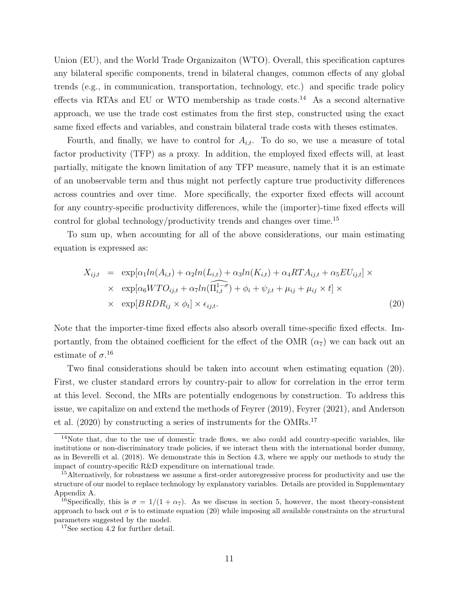Union (EU), and the World Trade Organizaiton (WTO). Overall, this specification captures any bilateral specific components, trend in bilateral changes, common effects of any global trends (e.g., in communication, transportation, technology, etc.) and specific trade policy effects via RTAs and EU or WTO membership as trade costs.<sup>[14](#page-2-0)</sup> As a second alternative approach, we use the trade cost estimates from the first step, constructed using the exact same fixed effects and variables, and constrain bilateral trade costs with theses estimates.

Fourth, and finally, we have to control for  $A_{i,t}$ . To do so, we use a measure of total factor productivity (TFP) as a proxy. In addition, the employed fixed effects will, at least partially, mitigate the known limitation of any TFP measure, namely that it is an estimate of an unobservable term and thus might not perfectly capture true productivity differences across countries and over time. More specifically, the exporter fixed effects will account for any country-specific productivity differences, while the (importer)-time fixed effects will control for global technology/productivity trends and changes over time.<sup>[15](#page-2-0)</sup>

To sum up, when accounting for all of the above considerations, our main estimating equation is expressed as:

<span id="page-12-0"></span>
$$
X_{ij,t} = \exp[\alpha_1 ln(A_{i,t}) + \alpha_2 ln(L_{i,t}) + \alpha_3 ln(K_{i,t}) + \alpha_4 RT A_{ij,t} + \alpha_5 EU_{ij,t}] \times
$$
  
 
$$
\times \exp[\alpha_6 W T O_{ij,t} + \alpha_7 ln(\Pi_{i,t}^{1-\sigma}) + \phi_i + \psi_{j,t} + \mu_{ij} + \mu_{ij} \times t] \times
$$
  
 
$$
\times \exp[B R D R_{ij} \times \phi_t] \times \epsilon_{ij,t}.
$$
 (20)

Note that the importer-time fixed effects also absorb overall time-specific fixed effects. Importantly, from the obtained coefficient for the effect of the OMR  $(\alpha_7)$  we can back out an estimate of  $\sigma$ <sup>[16](#page-2-0)</sup>

Two final considerations should be taken into account when estimating equation [\(20\)](#page-12-0). First, we cluster standard errors by country-pair to allow for correlation in the error term at this level. Second, the MRs are potentially endogenous by construction. To address this issue, we capitalize on and extend the methods of [Feyrer](#page-31-6) [\(2019\)](#page-31-6), [Feyrer](#page-31-7) [\(2021\)](#page-31-7), and [Anderson](#page-30-5) [et al.](#page-30-5) [\(2020\)](#page-30-5) by constructing a series of instruments for the OMRs.[17](#page-2-0)

 $14$ Note that, due to the use of domestic trade flows, we also could add country-specific variables, like institutions or non-discriminatory trade policies, if we interact them with the international border dummy, as in [Beverelli et al.](#page-30-1) [\(2018\)](#page-30-1). We demonstrate this in Section [4.3,](#page-19-0) where we apply our methods to study the impact of country-specific R&D expenditure on international trade.

<sup>&</sup>lt;sup>15</sup>Alternatively, for robustness we assume a first-order autoregressive process for productivity and use the structure of our model to replace technology by explanatory variables. Details are provided in Supplementary Appendix [A.](#page-34-0)

<sup>&</sup>lt;sup>16</sup>Specifically, this is  $\sigma = 1/(1 + \alpha_7)$ . As we discuss in section [5,](#page-23-0) however, the most theory-consistent approach to back out  $\sigma$  is to estimate equation [\(20\)](#page-12-0) while imposing all available constraints on the structural parameters suggested by the model.

<sup>&</sup>lt;sup>17</sup>See section [4.2](#page-16-0) for further detail.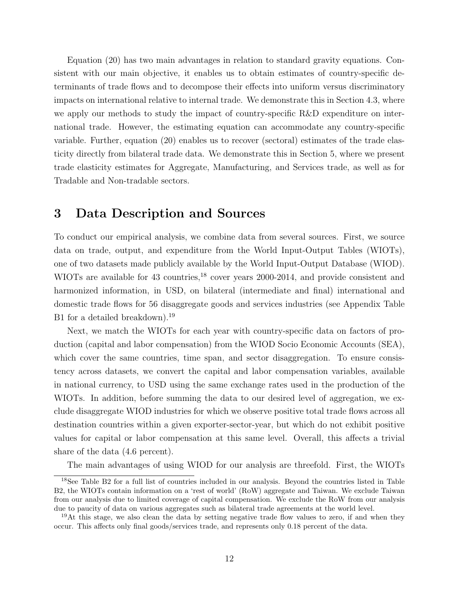Equation [\(20\)](#page-12-0) has two main advantages in relation to standard gravity equations. Consistent with our main objective, it enables us to obtain estimates of country-specific determinants of trade flows and to decompose their effects into uniform versus discriminatory impacts on international relative to internal trade. We demonstrate this in Section [4.3,](#page-19-0) where we apply our methods to study the impact of country-specific R&D expenditure on international trade. However, the estimating equation can accommodate any country-specific variable. Further, equation [\(20\)](#page-12-0) enables us to recover (sectoral) estimates of the trade elasticity directly from bilateral trade data. We demonstrate this in Section [5,](#page-23-0) where we present trade elasticity estimates for Aggregate, Manufacturing, and Services trade, as well as for Tradable and Non-tradable sectors.

# <span id="page-13-0"></span>3 Data Description and Sources

To conduct our empirical analysis, we combine data from several sources. First, we source data on trade, output, and expenditure from the World Input-Output Tables (WIOTs), one of two datasets made publicly available by the World Input-Output Database (WIOD). WIOTs are available for 43 countries,<sup>[18](#page-2-0)</sup> cover years 2000-2014, and provide consistent and harmonized information, in USD, on bilateral (intermediate and final) international and domestic trade flows for 56 disaggregate goods and services industries (see Appendix Table [B1](#page-15-0) for a detailed breakdown).<sup>[19](#page-2-0)</sup>

Next, we match the WIOTs for each year with country-specific data on factors of production (capital and labor compensation) from the WIOD Socio Economic Accounts (SEA), which cover the same countries, time span, and sector disaggregation. To ensure consistency across datasets, we convert the capital and labor compensation variables, available in national currency, to USD using the same exchange rates used in the production of the WIOTs. In addition, before summing the data to our desired level of aggregation, we exclude disaggregate WIOD industries for which we observe positive total trade flows across all destination countries within a given exporter-sector-year, but which do not exhibit positive values for capital or labor compensation at this same level. Overall, this affects a trivial share of the data (4.6 percent).

The main advantages of using WIOD for our analysis are threefold. First, the WIOTs

<sup>18</sup>See Table [B2](#page-17-0) for a full list of countries included in our analysis. Beyond the countries listed in Table [B2,](#page-17-0) the WIOTs contain information on a 'rest of world' (RoW) aggregate and Taiwan. We exclude Taiwan from our analysis due to limited coverage of capital compensation. We exclude the RoW from our analysis due to paucity of data on various aggregates such as bilateral trade agreements at the world level.

 $19$ At this stage, we also clean the data by setting negative trade flow values to zero, if and when they occur. This affects only final goods/services trade, and represents only 0.18 percent of the data.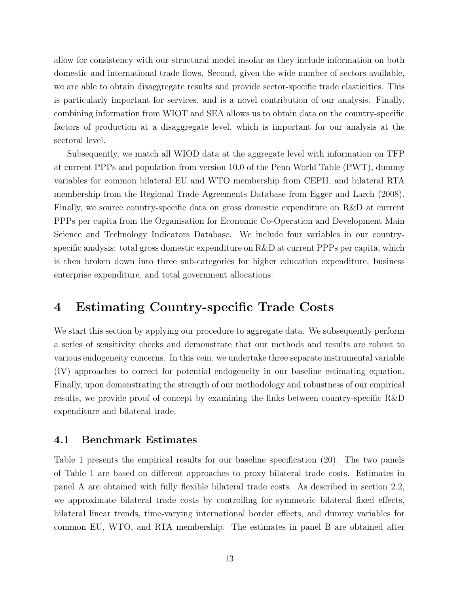allow for consistency with our structural model insofar as they include information on both domestic and international trade flows. Second, given the wide number of sectors available, we are able to obtain disaggregate results and provide sector-specific trade elasticities. This is particularly important for services, and is a novel contribution of our analysis. Finally, combining information from WIOT and SEA allows us to obtain data on the country-specific factors of production at a disaggregate level, which is important for our analysis at the sectoral level.

Subsequently, we match all WIOD data at the aggregate level with information on TFP at current PPPs and population from version 10.0 of the Penn World Table (PWT), dummy variables for common bilateral EU and WTO membership from CEPII, and bilateral RTA membership from the Regional Trade Agreements Database from [Egger and Larch](#page-31-14) [\(2008\)](#page-31-14). Finally, we source country-specific data on gross domestic expenditure on R&D at current PPPs per capita from the Organisation for Economic Co-Operation and Development Main Science and Technology Indicators Database. We include four variables in our countryspecific analysis: total gross domestic expenditure on R&D at current PPPs per capita, which is then broken down into three sub-categories for higher education expenditure, business enterprise expenditure, and total government allocations.

# <span id="page-14-0"></span>4 Estimating Country-specific Trade Costs

We start this section by applying our procedure to aggregate data. We subsequently perform a series of sensitivity checks and demonstrate that our methods and results are robust to various endogeneity concerns. In this vein, we undertake three separate instrumental variable (IV) approaches to correct for potential endogeneity in our baseline estimating equation. Finally, upon demonstrating the strength of our methodology and robustness of our empirical results, we provide proof of concept by examining the links between country-specific R&D expenditure and bilateral trade.

#### 4.1 Benchmark Estimates

Table [1](#page-15-0) presents the empirical results for our baseline specification [\(20\)](#page-12-0). The two panels of Table [1](#page-15-0) are based on different approaches to proxy bilateral trade costs. Estimates in panel A are obtained with fully flexible bilateral trade costs. As described in section [2.2,](#page-10-2) we approximate bilateral trade costs by controlling for symmetric bilateral fixed effects, bilateral linear trends, time-varying international border effects, and dummy variables for common EU, WTO, and RTA membership. The estimates in panel B are obtained after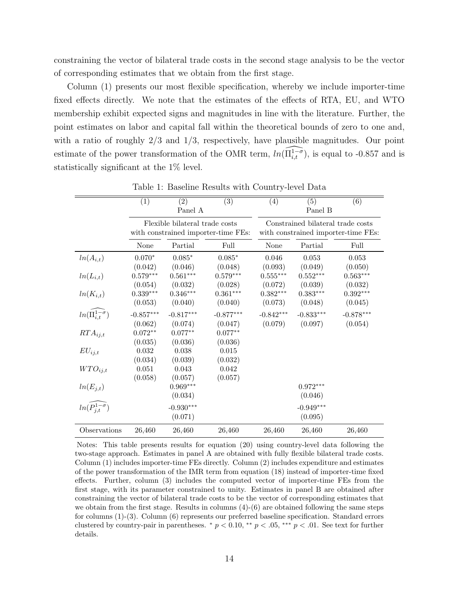constraining the vector of bilateral trade costs in the second stage analysis to be the vector of corresponding estimates that we obtain from the first stage.

Column (1) presents our most flexible specification, whereby we include importer-time fixed effects directly. We note that the estimates of the effects of RTA, EU, and WTO membership exhibit expected signs and magnitudes in line with the literature. Further, the point estimates on labor and capital fall within the theoretical bounds of zero to one and, with a ratio of roughly  $2/3$  and  $1/3$ , respectively, have plausible magnitudes. Our point estimate of the power transformation of the OMR term,  $ln(\widehat{\Pi_{i,t}^{1-\sigma}})$ , is equal to -0.857 and is statistically significant at the 1% level.

|                                      | $\overline{(1)}$ | (2)                            | $\overline{(3)}$                    | (4)         | (5)                               | $\overline{(6)}$                    |
|--------------------------------------|------------------|--------------------------------|-------------------------------------|-------------|-----------------------------------|-------------------------------------|
|                                      |                  | Panel A                        |                                     |             | Panel B                           |                                     |
|                                      |                  | Flexible bilateral trade costs | with constrained importer-time FEs: |             | Constrained bilateral trade costs | with constrained importer-time FEs: |
|                                      | None             | Partial                        | Full                                | None        | Partial                           | Full                                |
| $ln(A_{i,t})$                        | $0.070*$         | $0.085*$                       | $0.085*$                            | 0.046       | 0.053                             | 0.053                               |
|                                      | (0.042)          | (0.046)                        | (0.048)                             | (0.093)     | (0.049)                           | (0.050)                             |
| $ln(L_{i,t})$                        | $0.579***$       | $0.561***$                     | $0.579***$                          | $0.555***$  | $0.552***$                        | $0.563***$                          |
|                                      | (0.054)          | (0.032)                        | (0.028)                             | (0.072)     | (0.039)                           | (0.032)                             |
| $ln(K_{i,t})$                        | $0.339***$       | $0.346***$                     | $0.361^{\ast\ast\ast}$              | $0.382***$  | $0.383***$                        | $0.392^{\ast\ast\ast}$              |
|                                      | (0.053)          | (0.040)                        | (0.040)                             | (0.073)     | (0.048)                           | (0.045)                             |
| $ln(\widehat{\Pi_{i,t}^{1-\sigma}})$ | $-0.857***$      | $-0.817***$                    | $-0.877***$                         | $-0.842***$ | $-0.833***$                       | $-0.878***$                         |
|                                      | (0.062)          | (0.074)                        | (0.047)                             | (0.079)     | (0.097)                           | (0.054)                             |
| $RTA_{i,j,t}$                        | $0.072**$        | $0.077**$                      | $0.077^{\ast\ast}$                  |             |                                   |                                     |
|                                      | (0.035)          | (0.036)                        | (0.036)                             |             |                                   |                                     |
| $EU_{ij,t}$                          | $0.032\,$        | 0.038                          | $0.015\,$                           |             |                                   |                                     |
|                                      | (0.034)          | (0.039)                        | (0.032)                             |             |                                   |                                     |
| $WTO_{ij,t}$                         | 0.051            | 0.043                          | 0.042                               |             |                                   |                                     |
|                                      | (0.058)          | (0.057)                        | (0.057)                             |             |                                   |                                     |
| $ln(E_{j,t})$                        |                  | $0.969***$                     |                                     |             | $0.972^{\ast\ast\ast}$            |                                     |
|                                      |                  | (0.034)                        |                                     |             | (0.046)                           |                                     |
| $ln(\widehat{P_{j,t}^{1-\sigma}})$   |                  | $-0.930***$                    |                                     |             | $-0.949***$                       |                                     |
|                                      |                  | (0.071)                        |                                     |             | (0.095)                           |                                     |
| Observations                         | 26,460           | 26,460                         | 26,460                              | 26,460      | 26,460                            | 26,460                              |

<span id="page-15-0"></span>Table 1: Baseline Results with Country-level Data

Notes: This table presents results for equation [\(20\)](#page-12-0) using country-level data following the two-stage approach. Estimates in panel A are obtained with fully flexible bilateral trade costs. Column (1) includes importer-time FEs directly. Column (2) includes expenditure and estimates of the power transformation of the IMR term from equation [\(18\)](#page-11-0) instead of importer-time fixed effects. Further, column (3) includes the computed vector of importer-time FEs from the first stage, with its parameter constrained to unity. Estimates in panel B are obtained after constraining the vector of bilateral trade costs to be the vector of corresponding estimates that we obtain from the first stage. Results in columns (4)-(6) are obtained following the same steps for columns (1)-(3). Column (6) represents our preferred baseline specification. Standard errors clustered by country-pair in parentheses.  $* p < 0.10, ** p < .05, ** p < .01$ . See text for further details.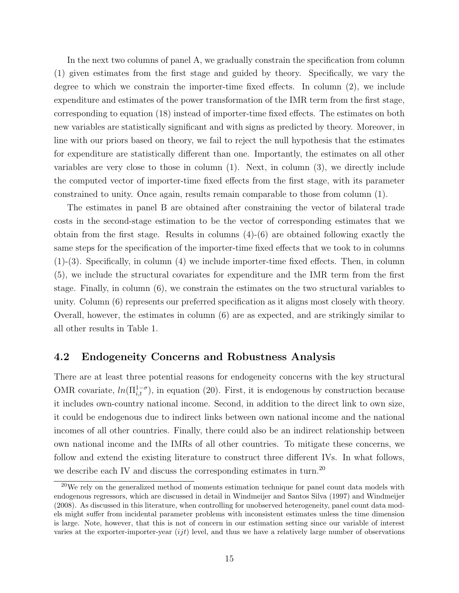In the next two columns of panel A, we gradually constrain the specification from column (1) given estimates from the first stage and guided by theory. Specifically, we vary the degree to which we constrain the importer-time fixed effects. In column (2), we include expenditure and estimates of the power transformation of the IMR term from the first stage, corresponding to equation [\(18\)](#page-11-0) instead of importer-time fixed effects. The estimates on both new variables are statistically significant and with signs as predicted by theory. Moreover, in line with our priors based on theory, we fail to reject the null hypothesis that the estimates for expenditure are statistically different than one. Importantly, the estimates on all other variables are very close to those in column (1). Next, in column (3), we directly include the computed vector of importer-time fixed effects from the first stage, with its parameter constrained to unity. Once again, results remain comparable to those from column (1).

The estimates in panel B are obtained after constraining the vector of bilateral trade costs in the second-stage estimation to be the vector of corresponding estimates that we obtain from the first stage. Results in columns  $(4)-(6)$  are obtained following exactly the same steps for the specification of the importer-time fixed effects that we took to in columns  $(1)-(3)$ . Specifically, in column  $(4)$  we include importer-time fixed effects. Then, in column (5), we include the structural covariates for expenditure and the IMR term from the first stage. Finally, in column (6), we constrain the estimates on the two structural variables to unity. Column (6) represents our preferred specification as it aligns most closely with theory. Overall, however, the estimates in column (6) are as expected, and are strikingly similar to all other results in Table [1.](#page-15-0)

#### <span id="page-16-0"></span>4.2 Endogeneity Concerns and Robustness Analysis

There are at least three potential reasons for endogeneity concerns with the key structural OMR covariate,  $ln(\Pi_{i,t}^{1-\sigma})$ , in equation [\(20\)](#page-12-0). First, it is endogenous by construction because it includes own-country national income. Second, in addition to the direct link to own size, it could be endogenous due to indirect links between own national income and the national incomes of all other countries. Finally, there could also be an indirect relationship between own national income and the IMRs of all other countries. To mitigate these concerns, we follow and extend the existing literature to construct three different IVs. In what follows, we describe each IV and discuss the corresponding estimates in turn.<sup>[20](#page-2-0)</sup>

 $20$ We rely on the generalized method of moments estimation technique for panel count data models with endogenous regressors, which are discussed in detail in [Windmeijer and Santos Silva](#page-33-1) [\(1997\)](#page-33-1) and [Windmeijer](#page-33-2) [\(2008\)](#page-33-2). As discussed in this literature, when controlling for unobserved heterogeneity, panel count data models might suffer from incidental parameter problems with inconsistent estimates unless the time dimension is large. Note, however, that this is not of concern in our estimation setting since our variable of interest varies at the exporter-importer-year  $(ijt)$  level, and thus we have a relatively large number of observations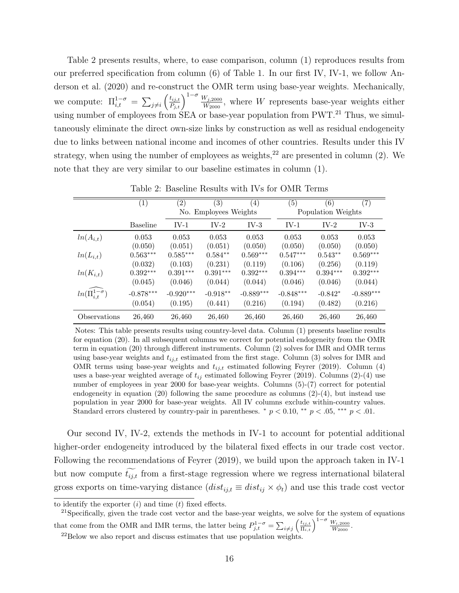Table [2](#page-17-0) presents results, where, to ease comparison, column (1) reproduces results from our preferred specification from column (6) of Table [1.](#page-15-0) In our first IV, IV-1, we follow [An](#page-30-5)[derson et al.](#page-30-5) [\(2020\)](#page-30-5) and re-construct the OMR term using base-year weights. Mechanically, we compute:  $\Pi_{i,t}^{1-\sigma} = \sum_{j\neq i} \left(\frac{t_{ij,t}}{P_{j,t}}\right)^{1-\sigma} \frac{W_{j,2000}}{W_{2000}},$  where W represents base-year weights either using number of employees from  $SEA$  or base-year population from PWT.<sup>[21](#page-2-0)</sup> Thus, we simultaneously eliminate the direct own-size links by construction as well as residual endogeneity due to links between national income and incomes of other countries. Results under this IV strategy, when using the number of employees as weights, $2<sup>2</sup>$  are presented in column (2). We note that they are very similar to our baseline estimates in column (1).

|                                      | (1)             | (2)         | (3)                   | (4)         | (5)         | (6)                | (7)         |
|--------------------------------------|-----------------|-------------|-----------------------|-------------|-------------|--------------------|-------------|
|                                      |                 |             | No. Employees Weights |             |             | Population Weights |             |
|                                      | <b>Baseline</b> | $IV-1$      | $IV-2$                | $IV-3$      | $IV-1$      | $IV-2$             | $IV-3$      |
| $ln(A_{i,t})$                        | 0.053           | 0.053       | 0.053                 | 0.053       | 0.053       | 0.053              | 0.053       |
|                                      | (0.050)         | (0.051)     | (0.051)               | (0.050)     | (0.050)     | (0.050)            | (0.050)     |
| $ln(L_{i,t})$                        | $0.563***$      | $0.585***$  | $0.584**$             | $0.569***$  | $0.547***$  | $0.543**$          | $0.569***$  |
|                                      | (0.032)         | (0.103)     | (0.231)               | (0.119)     | (0.106)     | (0.256)            | (0.119)     |
| $ln(K_{i,t})$                        | $0.392***$      | $0.391***$  | $0.391***$            | $0.392***$  | $0.394***$  | $0.394***$         | $0.392***$  |
|                                      | (0.045)         | (0.046)     | (0.044)               | (0.044)     | (0.046)     | (0.046)            | (0.044)     |
| $ln(\widehat{\Pi}_{i,t}^{1-\sigma})$ | $-0.878***$     | $-0.920***$ | $-0.918**$            | $-0.889***$ | $-0.848***$ | $-0.842*$          | $-0.889***$ |
|                                      | (0.054)         | (0.195)     | (0.441)               | (0.216)     | (0.194)     | (0.482)            | (0.216)     |
| Observations                         | 26,460          | 26,460      | 26,460                | 26,460      | 26,460      | 26,460             | 26,460      |

<span id="page-17-0"></span>Table 2: Baseline Results with IVs for OMR Terms

Notes: This table presents results using country-level data. Column (1) presents baseline results for equation [\(20\)](#page-12-0). In all subsequent columns we correct for potential endogeneity from the OMR term in equation [\(20\)](#page-12-0) through different instruments. Column (2) solves for IMR and OMR terms using base-year weights and  $t_{ij,t}$  estimated from the first stage. Column (3) solves for IMR and OMR terms using base-year weights and  $t_{ij,t}$  estimated following [Feyrer](#page-31-6) [\(2019\)](#page-31-6). Column (4) uses a base-year weighted average of  $t_{ij}$  estimated following [Feyrer](#page-31-6) [\(2019\)](#page-31-6). Columns (2)-(4) use number of employees in year 2000 for base-year weights. Columns (5)-(7) correct for potential endogeneity in equation  $(20)$  following the same procedure as columns  $(2)-(4)$ , but instead use population in year 2000 for base-year weights. All IV columns exclude within-country values. Standard errors clustered by country-pair in parentheses.  $* p < 0.10$ ,  $* p < 0.05$ ,  $** p < 0.01$ .

Our second IV, IV-2, extends the methods in IV-1 to account for potential additional higher-order endogeneity introduced by the bilateral fixed effects in our trade cost vector. Following the recommendations of [Feyrer](#page-31-6) [\(2019\)](#page-31-6), we build upon the approach taken in IV-1 but now compute  $\widetilde{t_{i,j,t}}$  from a first-stage regression where we regress international bilateral gross exports on time-varying distance  $(dist_{ij,t} \equiv dist_{ij} \times \phi_t)$  and use this trade cost vector

to identify the exporter  $(i)$  and time  $(t)$  fixed effects.

<sup>&</sup>lt;sup>21</sup>Specifically, given the trade cost vector and the base-year weights, we solve for the system of equations that come from the OMR and IMR terms, the latter being  $P_{j,t}^{1-\sigma} = \sum_{i \neq j} \left( \frac{t_{ij,t}}{\Pi_{i,t}} \right)^{1-\sigma} \frac{W_{i,2000}}{W_{2000}}$ .

 $22$ Below we also report and discuss estimates that use population weights.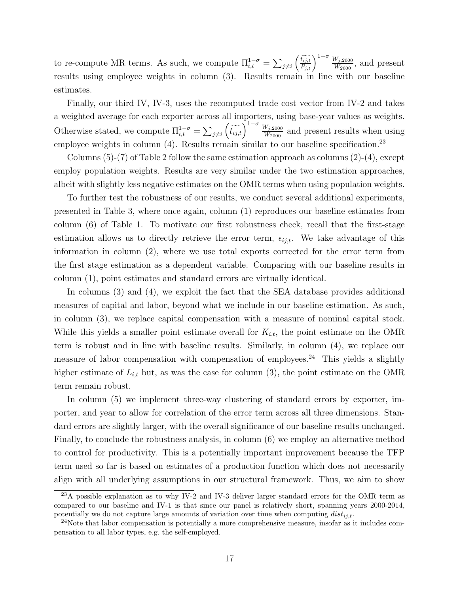to re-compute MR terms. As such, we compute  $\Pi_{i,t}^{1-\sigma} = \sum_{j\neq i} \left(\widetilde{\frac{t_{ij,t}}{P_{i,t}}}\right)^{1-\sigma} \frac{W_{j,2000}}{W_{2000}}$  $\frac{1-\sigma}{i,t} = \sum_{j\neq i} \left(\frac{t_{ij,t}}{P_{j,t}}\right)$   $\frac{W_{j,2000}}{W_{2000}}$ , and present results using employee weights in column (3). Results remain in line with our baseline estimates.

Finally, our third IV, IV-3, uses the recomputed trade cost vector from IV-2 and takes a weighted average for each exporter across all imp orters, using base-year values as weights. Otherwise stated, we compute  $\Pi_{i,t}^{1-\sigma} = \sum_{j\neq i} \left(\widetilde{t_{ij,t}}\right)^{1-\sigma} \frac{W_{j,2000}}{W_{2000}}$  and present results when using employee weights in column  $(4)$ . Results remain similar to our baseline specification.<sup>[23](#page-2-0)</sup>

Columns  $(5)-(7)$  of Table [2](#page-17-0) follow the same estimation approach as columns  $(2)-(4)$ , except employ population weights. Results are very similar under the two estimation approaches, albeit with slightly less negative estimates on the OMR terms when using population weights.

To further test the robustness of our results, we conduct several additional experiments, presented in Table [3,](#page-19-1) where once again, column (1) reproduces our baseline estimates from column (6) of Table [1.](#page-15-0) To motivate our first robustness check, recall that the first-stage estimation allows us to directly retrieve the error term,  $\epsilon_{ij,t}$ . We take advantage of this information in column (2), where we use total exports corrected for the error term from the first stage estimation as a dependent variable. Comparing with our baseline results in column (1), point estimates and standard errors are virtually identical.

In columns (3) and (4), we exploit the fact that the SEA database provides additional measures of capital and labor, beyond what we include in our baseline estimation. As such, in column (3), we replace capital compensation with a measure of nominal capital stock. While this yields a smaller point estimate overall for  $K_{i,t}$ , the point estimate on the OMR term is robust and in line with baseline results. Similarly, in column (4), we replace our measure of labor compensation with compensation of employees.<sup>[24](#page-2-0)</sup> This yields a slightly higher estimate of  $L_{i,t}$  but, as was the case for column (3), the point estimate on the OMR term remain robust.

In column (5) we implement three-way clustering of standard errors by exporter, importer, and year to allow for correlation of the error term across all three dimensions. Standard errors are slightly larger, with the overall significance of our baseline results unchanged. Finally, to conclude the robustness analysis, in column (6) we employ an alternative method to control for productivity. This is a potentially important improvement because the TFP term used so far is based on estimates of a production function which does not necessarily align with all underlying assumptions in our structural framework. Thus, we aim to show

 $^{23}$ A possible explanation as to why IV-2 and IV-3 deliver larger standard errors for the OMR term as compared to our baseline and IV-1 is that since our panel is relatively short, spanning years 2000-2014, potentially we do not capture large amounts of variation over time when computing  $dist_{ij,t}$ .

 $24$ Note that labor compensation is potentially a more comprehensive measure, insofar as it includes compensation to all labor types, e.g. the self-employed.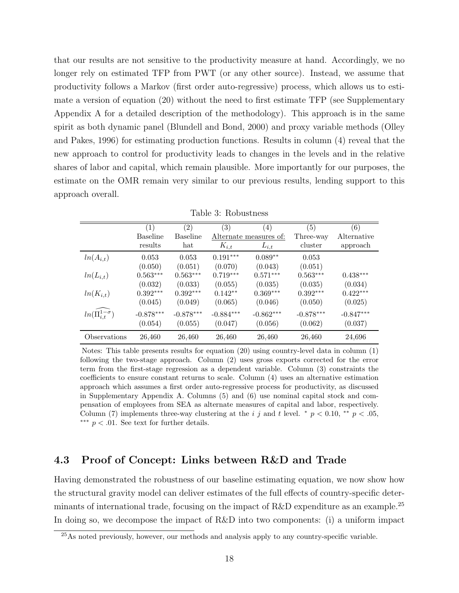that our results are not sensitive to the productivity measure at hand. Accordingly, we no longer rely on estimated TFP from PWT (or any other source). Instead, we assume that productivity follows a Markov (first order auto-regressive) process, which allows us to estimate a version of equation [\(20\)](#page-12-0) without the need to first estimate TFP (see Supplementary Appendix [A](#page-34-0) for a detailed description of the methodology). This approach is in the same spirit as both dynamic panel [\(Blundell and Bond, 2000\)](#page-30-15) and proxy variable methods [\(Olley](#page-32-12) [and Pakes, 1996\)](#page-32-12) for estimating production functions. Results in column (4) reveal that the new approach to control for productivity leads to changes in the levels and in the relative shares of labor and capital, which remain plausible. More importantly for our purposes, the estimate on the OMR remain very similar to our previous results, lending support to this approach overall.

|                                      | (1)             | $\left( 2\right)$ | $\left( 3\right)$ | (4)                    | (5)         | (6)         |
|--------------------------------------|-----------------|-------------------|-------------------|------------------------|-------------|-------------|
|                                      | <b>Baseline</b> | <b>Baseline</b>   |                   | Alternate measures of: | Three-way   | Alternative |
|                                      | results         | hat               | $K_{i,t}$         | $L_{i,t}$              | cluster     | approach    |
| $ln(A_{i,t})$                        | 0.053           | 0.053             | $0.191***$        | $0.089**$              | 0.053       |             |
|                                      | (0.050)         | (0.051)           | (0.070)           | (0.043)                | (0.051)     |             |
| $ln(L_{i,t})$                        | $0.563***$      | $0.563***$        | $0.719***$        | $0.571***$             | $0.563***$  | $0.438***$  |
|                                      | (0.032)         | (0.033)           | (0.055)           | (0.035)                | (0.035)     | (0.034)     |
| $ln(K_{i,t})$                        | $0.392***$      | $0.392***$        | $0.142**$         | $0.369***$             | $0.392***$  | $0.422***$  |
|                                      | (0.045)         | (0.049)           | (0.065)           | (0.046)                | (0.050)     | (0.025)     |
| $ln(\widehat{\Pi}_{i,t}^{1-\sigma})$ | $-0.878***$     | $-0.878***$       | $-0.884***$       | $-0.862***$            | $-0.878***$ | $-0.847***$ |
|                                      | (0.054)         | (0.055)           | (0.047)           | (0.056)                | (0.062)     | (0.037)     |
| Observations                         | 26,460          | 26,460            | 26,460            | 26,460                 | 26,460      | 24,696      |

<span id="page-19-1"></span>Table 3: Robustness

Notes: This table presents results for equation [\(20\)](#page-12-0) using country-level data in column (1) following the two-stage approach. Column (2) uses gross exports corrected for the error term from the first-stage regression as a dependent variable. Column (3) constraints the coefficients to ensure constant returns to scale. Column (4) uses an alternative estimation approach which assumes a first order auto-regressive process for productivity, as discussed in Supplementary Appendix [A.](#page-34-0) Columns (5) and (6) use nominal capital stock and compensation of employees from SEA as alternate measures of capital and labor, respectively. Column (7) implements three-way clustering at the i j and t level. \*  $p < 0.10$ , \*\*  $p < .05$ , ∗∗∗ p < .01. See text for further details.

#### <span id="page-19-0"></span>4.3 Proof of Concept: Links between R&D and Trade

Having demonstrated the robustness of our baseline estimating equation, we now show how the structural gravity model can deliver estimates of the full effects of country-specific determinants of international trade, focusing on the impact of  $R&D$  expenditure as an example.<sup>[25](#page-2-0)</sup> In doing so, we decompose the impact of R&D into two components: (i) a uniform impact

<sup>&</sup>lt;sup>25</sup>As noted previously, however, our methods and analysis apply to any country-specific variable.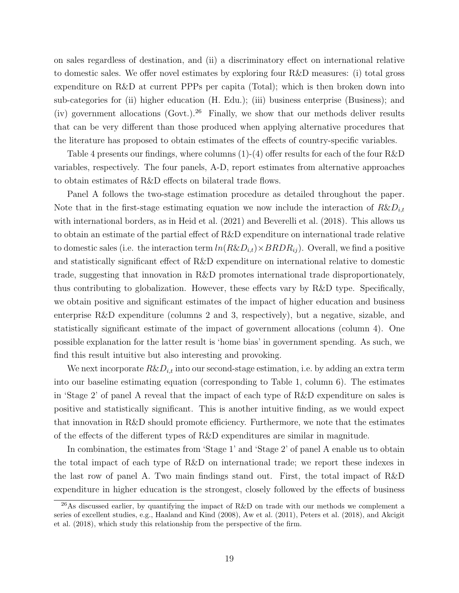on sales regardless of destination, and (ii) a discriminatory effect on international relative to domestic sales. We offer novel estimates by exploring four R&D measures: (i) total gross expenditure on R&D at current PPPs per capita (Total); which is then broken down into sub-categories for (ii) higher education (H. Edu.); (iii) business enterprise (Business); and (iv) government allocations  $(Gout.)^{26}$  $(Gout.)^{26}$  $(Gout.)^{26}$  Finally, we show that our methods deliver results that can be very different than those produced when applying alternative procedures that the literature has proposed to obtain estimates of the effects of country-specific variables.

Table [4](#page-21-0) presents our findings, where columns (1)-(4) offer results for each of the four R&D variables, respectively. The four panels, A-D, report estimates from alternative approaches to obtain estimates of R&D effects on bilateral trade flows.

Panel A follows the two-stage estimation procedure as detailed throughout the paper. Note that in the first-stage estimating equation we now include the interaction of  $R\&D_{i,t}$ with international borders, as in [Heid et al.](#page-32-0) [\(2021\)](#page-32-0) and [Beverelli et al.](#page-30-1) [\(2018\)](#page-30-1). This allows us to obtain an estimate of the partial effect of R&D expenditure on international trade relative to domestic sales (i.e. the interaction term  $ln(R\&D_{i,t})\times BRDR_{ij}$ ). Overall, we find a positive and statistically significant effect of R&D expenditure on international relative to domestic trade, suggesting that innovation in R&D promotes international trade disproportionately, thus contributing to globalization. However, these effects vary by R&D type. Specifically, we obtain positive and significant estimates of the impact of higher education and business enterprise R&D expenditure (columns 2 and 3, respectively), but a negative, sizable, and statistically significant estimate of the impact of government allocations (column 4). One possible explanation for the latter result is 'home bias' in government spending. As such, we find this result intuitive but also interesting and provoking.

We next incorporate  $R\&D_{i,t}$  into our second-stage estimation, i.e. by adding an extra term into our baseline estimating equation (corresponding to Table [1,](#page-15-0) column 6). The estimates in 'Stage 2' of panel A reveal that the impact of each type of R&D expenditure on sales is positive and statistically significant. This is another intuitive finding, as we would expect that innovation in R&D should promote efficiency. Furthermore, we note that the estimates of the effects of the different types of R&D expenditures are similar in magnitude.

In combination, the estimates from 'Stage 1' and 'Stage 2' of panel A enable us to obtain the total impact of each type of R&D on international trade; we report these indexes in the last row of panel A. Two main findings stand out. First, the total impact of R&D expenditure in higher education is the strongest, closely followed by the effects of business

<sup>&</sup>lt;sup>26</sup>As discussed earlier, by quantifying the impact of R&D on trade with our methods we complement a series of excellent studies, e.g., [Haaland and Kind](#page-31-8) [\(2008\)](#page-31-8), [Aw et al.](#page-30-7) [\(2011\)](#page-30-7), [Peters et al.](#page-32-6) [\(2018\)](#page-32-6), and [Akcigit](#page-30-8) [et al.](#page-30-8) [\(2018\)](#page-30-8), which study this relationship from the perspective of the firm.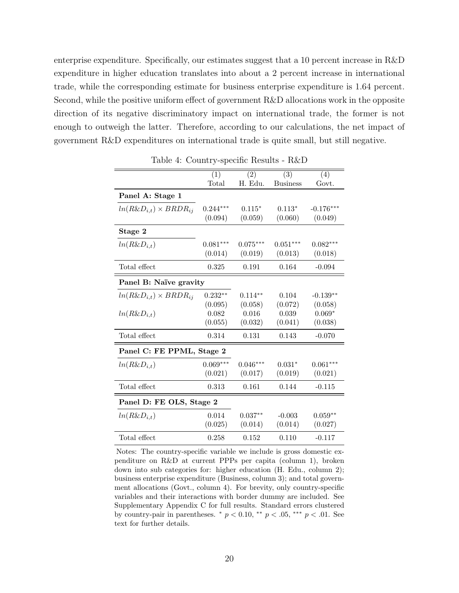enterprise expenditure. Specifically, our estimates suggest that a 10 percent increase in R&D expenditure in higher education translates into about a 2 percent increase in international trade, while the corresponding estimate for business enterprise expenditure is 1.64 percent. Second, while the positive uniform effect of government R&D allocations work in the opposite direction of its negative discriminatory impact on international trade, the former is not enough to outweigh the latter. Therefore, according to our calculations, the net impact of government R&D expenditures on international trade is quite small, but still negative.

|                                  | (1)        | (2)        | (3)             | (4)         |
|----------------------------------|------------|------------|-----------------|-------------|
|                                  | Total      | H. Edu.    | <b>Business</b> | Govt.       |
| Panel A: Stage 1                 |            |            |                 |             |
| $ln(R\&D_{i,t})\times BRDR_{ij}$ | $0.244***$ | $0.115*$   | $0.113*$        | $-0.176***$ |
|                                  | (0.094)    | (0.059)    | (0.060)         | (0.049)     |
| Stage 2                          |            |            |                 |             |
| $ln(R\&D_{i,t})$                 | $0.081***$ | $0.075***$ | $0.051***$      | $0.082***$  |
|                                  | (0.014)    | (0.019)    | (0.013)         | (0.018)     |
| Total effect                     | 0.325      | 0.191      | 0.164           | $-0.094$    |
| Panel B: Naïve gravity           |            |            |                 |             |
| $ln(R\&D_{i,t})\times BRDR_{ij}$ | $0.232**$  | $0.114**$  | 0.104           | $-0.139**$  |
|                                  | (0.095)    | (0.058)    | (0.072)         | (0.058)     |
| $ln(R\&D_{i,t})$                 | 0.082      | 0.016      | 0.039           | $0.069*$    |
|                                  | (0.055)    | (0.032)    | (0.041)         | (0.038)     |
| Total effect                     | 0.314      | 0.131      | 0.143           | $-0.070$    |
| Panel C: FE PPML, Stage 2        |            |            |                 |             |
| $ln(R\&D_{i,t})$                 | $0.069***$ | $0.046***$ | $0.031*$        | $0.061***$  |
|                                  | (0.021)    | (0.017)    | (0.019)         | (0.021)     |
| Total effect                     | 0.313      | 0.161      | 0.144           | $-0.115$    |
| Panel D: FE OLS, Stage 2         |            |            |                 |             |
| $ln(R\&D_{i,t})$                 | 0.014      | $0.037**$  | $-0.003$        | $0.059**$   |
|                                  | (0.025)    | (0.014)    | (0.014)         | (0.027)     |
| Total effect                     | 0.258      | 0.152      | 0.110           | $-0.117$    |

<span id="page-21-0"></span>Table 4: Country-specific Results - R&D

Notes: The country-specific variable we include is gross domestic expenditure on R&D at current PPPs per capita (column 1), broken down into sub categories for: higher education (H. Edu., column 2); business enterprise expenditure (Business, column 3); and total government allocations (Govt., column 4). For brevity, only country-specific variables and their interactions with border dummy are included. See Supplementary Appendix [C](#page-38-0) for full results. Standard errors clustered by country-pair in parentheses.  $\bar{p}$  < 0.10,  $\bar{p}$  < 0.5,  $\bar{p}$ ,  $\bar{p}$  < 0.01. See text for further details.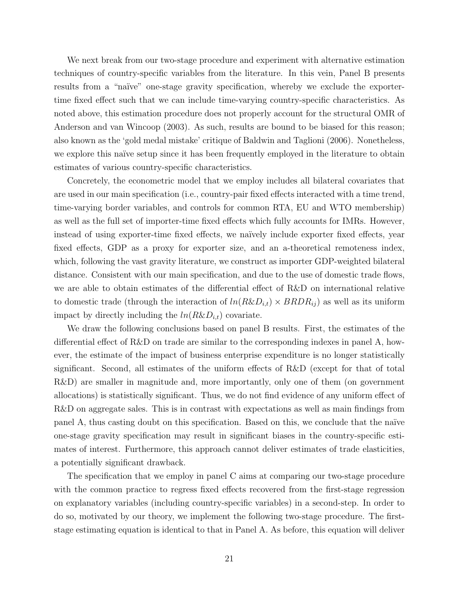We next break from our two-stage procedure and experiment with alternative estimation techniques of country-specific variables from the literature. In this vein, Panel B presents results from a "naïve" one-stage gravity specification, whereby we exclude the exportertime fixed effect such that we can include time-varying country-specific characteristics. As noted above, this estimation procedure does not properly account for the structural OMR of [Anderson and van Wincoop](#page-30-2) [\(2003\)](#page-30-2). As such, results are bound to be biased for this reason; also known as the 'gold medal mistake' critique of [Baldwin and Taglioni](#page-30-6) [\(2006\)](#page-30-6). Nonetheless, we explore this naïve setup since it has been frequently employed in the literature to obtain estimates of various country-specific characteristics.

Concretely, the econometric model that we employ includes all bilateral covariates that are used in our main specification (i.e., country-pair fixed effects interacted with a time trend, time-varying border variables, and controls for common RTA, EU and WTO membership) as well as the full set of importer-time fixed effects which fully accounts for IMRs. However, instead of using exporter-time fixed effects, we naïvely include exporter fixed effects, year fixed effects, GDP as a proxy for exporter size, and an a-theoretical remoteness index, which, following the vast gravity literature, we construct as importer GDP-weighted bilateral distance. Consistent with our main specification, and due to the use of domestic trade flows, we are able to obtain estimates of the differential effect of R&D on international relative to domestic trade (through the interaction of  $ln(R\&D_{i,t}) \times BRDR_{ij}$ ) as well as its uniform impact by directly including the  $ln(R\&D_{i,t})$  covariate.

We draw the following conclusions based on panel B results. First, the estimates of the differential effect of R&D on trade are similar to the corresponding indexes in panel A, however, the estimate of the impact of business enterprise expenditure is no longer statistically significant. Second, all estimates of the uniform effects of R&D (except for that of total R&D) are smaller in magnitude and, more importantly, only one of them (on government allocations) is statistically significant. Thus, we do not find evidence of any uniform effect of R&D on aggregate sales. This is in contrast with expectations as well as main findings from panel A, thus casting doubt on this specification. Based on this, we conclude that the naïve one-stage gravity specification may result in significant biases in the country-specific estimates of interest. Furthermore, this approach cannot deliver estimates of trade elasticities, a potentially significant drawback.

The specification that we employ in panel C aims at comparing our two-stage procedure with the common practice to regress fixed effects recovered from the first-stage regression on explanatory variables (including country-specific variables) in a second-step. In order to do so, motivated by our theory, we implement the following two-stage procedure. The firststage estimating equation is identical to that in Panel A. As before, this equation will deliver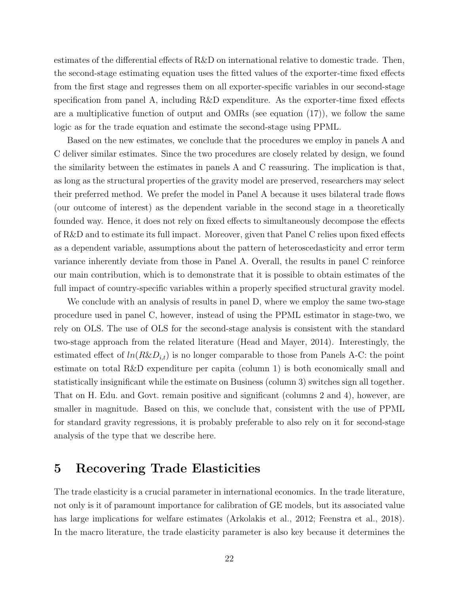estimates of the differential effects of R&D on international relative to domestic trade. Then, the second-stage estimating equation uses the fitted values of the exporter-time fixed effects from the first stage and regresses them on all exporter-specific variables in our second-stage specification from panel A, including R&D expenditure. As the exporter-time fixed effects are a multiplicative function of output and OMRs (see equation [\(17\)](#page-11-1)), we follow the same logic as for the trade equation and estimate the second-stage using PPML.

Based on the new estimates, we conclude that the procedures we employ in panels A and C deliver similar estimates. Since the two procedures are closely related by design, we found the similarity between the estimates in panels A and C reassuring. The implication is that, as long as the structural properties of the gravity model are preserved, researchers may select their preferred method. We prefer the model in Panel A because it uses bilateral trade flows (our outcome of interest) as the dependent variable in the second stage in a theoretically founded way. Hence, it does not rely on fixed effects to simultaneously decompose the effects of R&D and to estimate its full impact. Moreover, given that Panel C relies upon fixed effects as a dependent variable, assumptions about the pattern of heteroscedasticity and error term variance inherently deviate from those in Panel A. Overall, the results in panel C reinforce our main contribution, which is to demonstrate that it is possible to obtain estimates of the full impact of country-specific variables within a properly specified structural gravity model.

We conclude with an analysis of results in panel D, where we employ the same two-stage procedure used in panel C, however, instead of using the PPML estimator in stage-two, we rely on OLS. The use of OLS for the second-stage analysis is consistent with the standard two-stage approach from the related literature [\(Head and Mayer, 2014\)](#page-31-1). Interestingly, the estimated effect of  $ln(R\&D_{i,t})$  is no longer comparable to those from Panels A-C: the point estimate on total R&D expenditure per capita (column 1) is both economically small and statistically insignificant while the estimate on Business (column 3) switches sign all together. That on H. Edu. and Govt. remain positive and significant (columns 2 and 4), however, are smaller in magnitude. Based on this, we conclude that, consistent with the use of PPML for standard gravity regressions, it is probably preferable to also rely on it for second-stage analysis of the type that we describe here.

## <span id="page-23-0"></span>5 Recovering Trade Elasticities

The trade elasticity is a crucial parameter in international economics. In the trade literature, not only is it of paramount importance for calibration of GE models, but its associated value has large implications for welfare estimates [\(Arkolakis et al., 2012;](#page-30-0) [Feenstra et al., 2018\)](#page-31-11). In the macro literature, the trade elasticity parameter is also key because it determines the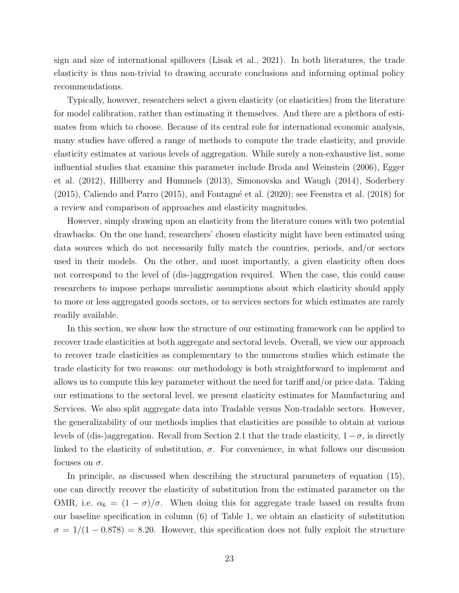sign and size of international spillovers [\(Lisak et al., 2021\)](#page-32-13). In both literatures, the trade elasticity is thus non-trivial to drawing accurate conclusions and informing optimal policy recommendations.

Typically, however, researchers select a given elasticity (or elasticities) from the literature for model calibration, rather than estimating it themselves. And there are a plethora of estimates from which to choose. Because of its central role for international economic analysis, many studies have offered a range of methods to compute the trade elasticity, and provide elasticity estimates at various levels of aggregation. While surely a non-exhaustive list, some influential studies that examine this parameter include [Broda and Weinstein](#page-30-11) [\(2006\)](#page-30-11), [Egger](#page-31-9) [et al.](#page-31-9) [\(2012\)](#page-31-9), [Hillberry and Hummels](#page-32-7) [\(2013\)](#page-32-7), [Simonovska and Waugh](#page-32-8) [\(2014\)](#page-32-8), [Soderbery](#page-32-9)  $(2015)$ , [Caliendo and Parro](#page-31-10)  $(2015)$ , and Fontagné et al.  $(2020)$ ; see [Feenstra et al.](#page-31-11)  $(2018)$  for a review and comparison of approaches and elasticity magnitudes.

However, simply drawing upon an elasticity from the literature comes with two potential drawbacks. On the one hand, researchers' chosen elasticity might have been estimated using data sources which do not necessarily fully match the countries, periods, and/or sectors used in their models. On the other, and most importantly, a given elasticity often does not correspond to the level of (dis-)aggregation required. When the case, this could cause researchers to impose perhaps unrealistic assumptions about which elasticity should apply to more or less aggregated goods sectors, or to services sectors for which estimates are rarely readily available.

In this section, we show how the structure of our estimating framework can be applied to recover trade elasticities at both aggregate and sectoral levels. Overall, we view our approach to recover trade elasticities as complementary to the numerous studies which estimate the trade elasticity for two reasons: our methodology is both straightforward to implement and allows us to compute this key parameter without the need for tariff and/or price data. Taking our estimations to the sectoral level, we present elasticity estimates for Manufacturing and Services. We also split aggregate data into Tradable versus Non-tradable sectors. However, the generalizability of our methods implies that elasticities are possible to obtain at various levels of (dis-)aggregation. Recall from Section [2.1](#page-6-1) that the trade elasticity,  $1 - \sigma$ , is directly linked to the elasticity of substitution,  $\sigma$ . For convenience, in what follows our discussion focuses on  $\sigma$ .

In principle, as discussed when describing the structural parameters of equation [\(15\)](#page-10-0), one can directly recover the elasticity of substitution from the estimated parameter on the OMR, i.e.  $\alpha_6 = (1 - \sigma)/\sigma$ . When doing this for aggregate trade based on results from our baseline specification in column (6) of Table [1,](#page-15-0) we obtain an elasticity of substitution  $\sigma = 1/(1 - 0.878) = 8.20$ . However, this specification does not fully exploit the structure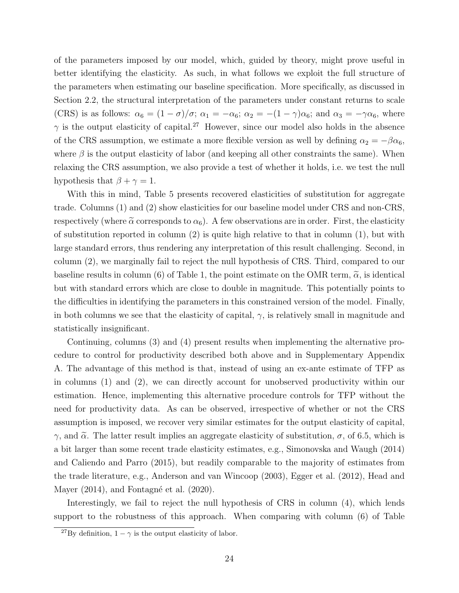of the parameters imposed by our model, which, guided by theory, might prove useful in better identifying the elasticity. As such, in what follows we exploit the full structure of the parameters when estimating our baseline specification. More specifically, as discussed in Section [2.2,](#page-10-2) the structural interpretation of the parameters under constant returns to scale (CRS) is as follows:  $\alpha_6 = (1 - \sigma)/\sigma$ ;  $\alpha_1 = -\alpha_6$ ;  $\alpha_2 = -(1 - \gamma)\alpha_6$ ; and  $\alpha_3 = -\gamma\alpha_6$ , where  $\gamma$  is the output elasticity of capital.<sup>[27](#page-2-0)</sup> However, since our model also holds in the absence of the CRS assumption, we estimate a more flexible version as well by defining  $\alpha_2 = -\beta \alpha_6$ , where  $\beta$  is the output elasticity of labor (and keeping all other constraints the same). When relaxing the CRS assumption, we also provide a test of whether it holds, i.e. we test the null hypothesis that  $\beta + \gamma = 1$ .

With this in mind, Table [5](#page-26-0) presents recovered elasticities of substitution for aggregate trade. Columns (1) and (2) show elasticities for our baseline model under CRS and non-CRS, respectively (where  $\tilde{\alpha}$  corresponds to  $\alpha_6$ ). A few observations are in order. First, the elasticity of substitution reported in column (2) is quite high relative to that in column (1), but with large standard errors, thus rendering any interpretation of this result challenging. Second, in column (2), we marginally fail to reject the null hypothesis of CRS. Third, compared to our baseline results in column (6) of Table [1,](#page-15-0) the point estimate on the OMR term,  $\tilde{\alpha}$ , is identical but with standard errors which are close to double in magnitude. This potentially points to the difficulties in identifying the parameters in this constrained version of the model. Finally, in both columns we see that the elasticity of capital,  $\gamma$ , is relatively small in magnitude and statistically insignificant.

Continuing, columns (3) and (4) present results when implementing the alternative procedure to control for productivity described both above and in Supplementary Appendix [A.](#page-34-0) The advantage of this method is that, instead of using an ex-ante estimate of TFP as in columns (1) and (2), we can directly account for unobserved productivity within our estimation. Hence, implementing this alternative procedure controls for TFP without the need for productivity data. As can be observed, irrespective of whether or not the CRS assumption is imposed, we recover very similar estimates for the output elasticity of capital,  $γ$ , and  $\tilde{α}$ . The latter result implies an aggregate elasticity of substitution,  $σ$ , of 6.5, which is a bit larger than some recent trade elasticity estimates, e.g., [Simonovska and Waugh](#page-32-8) [\(2014\)](#page-32-8) and [Caliendo and Parro](#page-31-10) [\(2015\)](#page-31-10), but readily comparable to the majority of estimates from the trade literature, e.g., [Anderson and van Wincoop](#page-30-2) [\(2003\)](#page-30-2), [Egger et al.](#page-31-9) [\(2012\)](#page-31-9), [Head and](#page-31-1) [Mayer](#page-31-1)  $(2014)$ , and Fontagné et al.  $(2020)$ .

Interestingly, we fail to reject the null hypothesis of CRS in column (4), which lends support to the robustness of this approach. When comparing with column (6) of Table

<sup>&</sup>lt;sup>27</sup>By definition,  $1 - \gamma$  is the output elasticity of labor.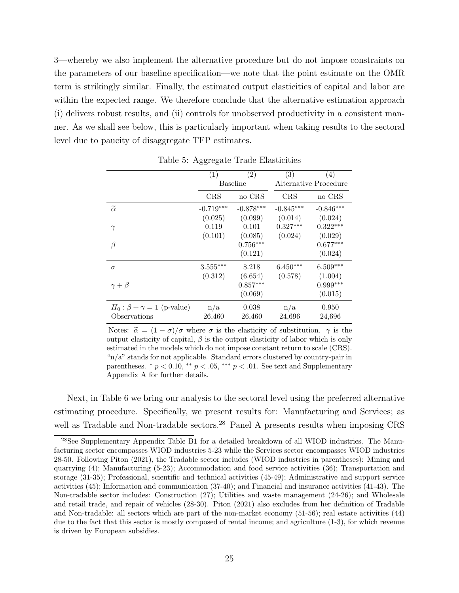[3—](#page-19-1)whereby we also implement the alternative procedure but do not impose constraints on the parameters of our baseline specification—we note that the point estimate on the OMR term is strikingly similar. Finally, the estimated output elasticities of capital and labor are within the expected range. We therefore conclude that the alternative estimation approach (i) delivers robust results, and (ii) controls for unobserved productivity in a consistent manner. As we shall see below, this is particularly important when taking results to the sectoral level due to paucity of disaggregate TFP estimates.

|                                     | (1)             | (2)         | (3)         | (4)                   |
|-------------------------------------|-----------------|-------------|-------------|-----------------------|
|                                     | <b>Baseline</b> |             |             | Alternative Procedure |
|                                     | CRS             | no CRS      | <b>CRS</b>  | no CRS                |
| $\widetilde{\alpha}$                | $-0.719***$     | $-0.878***$ | $-0.845***$ | $-0.846***$           |
|                                     | (0.025)         | (0.099)     | (0.014)     | (0.024)               |
| $\gamma$                            | 0.119           | 0.101       | $0.327***$  | $0.322***$            |
|                                     | (0.101)         | (0.085)     | (0.024)     | (0.029)               |
| β                                   |                 | $0.756***$  |             | $0.677***$            |
|                                     |                 | (0.121)     |             | (0.024)               |
| $\sigma$                            | $3.555***$      | 8.218       | $6.450***$  | $6.509***$            |
|                                     | (0.312)         | (6.654)     | (0.578)     | (1.004)               |
| $\gamma+\beta$                      |                 | $0.857***$  |             | $0.999***$            |
|                                     |                 | (0.069)     |             | (0.015)               |
| $H_0: \beta + \gamma = 1$ (p-value) | n/a             | 0.038       | n/a         | 0.950                 |
| Observations                        | 26,460          | 26,460      | 24,696      | 24,696                |

<span id="page-26-0"></span>Table 5: Aggregate Trade Elasticities

Notes:  $\tilde{\alpha} = (1 - \sigma)/\sigma$  where  $\sigma$  is the elasticity of substitution.  $\gamma$  is the output elasticity of capital,  $\beta$  is the output elasticity of labor which is only estimated in the models which do not impose constant return to scale (CRS). "n/a" stands for not applicable. Standard errors clustered by country-pair in parentheses.  $* p < 0.10, ** p < .05, ** p < .01$ . See text and Supplementary Appendix [A](#page-34-0) for further details.

Next, in Table [6](#page-27-0) we bring our analysis to the sectoral level using the preferred alternative estimating procedure. Specifically, we present results for: Manufacturing and Services; as well as Tradable and Non-tradable sectors.<sup>[28](#page-2-0)</sup> Panel A presents results when imposing CRS

<sup>&</sup>lt;sup>28</sup>See Supplementary Appendix Table [B1](#page-15-0) for a detailed breakdown of all WIOD industries. The Manufacturing sector encompasses WIOD industries 5-23 while the Services sector encompasses WIOD industries 28-50. Following [Piton](#page-32-14) [\(2021\)](#page-32-14), the Tradable sector includes (WIOD industries in parentheses): Mining and quarrying  $(4)$ ; Manufacturing  $(5-23)$ ; Accommodation and food service activities  $(36)$ ; Transportation and storage (31-35); Professional, scientific and technical activities (45-49); Administrative and support service activities (45); Information and communication (37-40); and Financial and insurance activities (41-43). The Non-tradable sector includes: Construction (27); Utilities and waste management (24-26); and Wholesale and retail trade, and repair of vehicles (28-30). [Piton](#page-32-14) [\(2021\)](#page-32-14) also excludes from her definition of Tradable and Non-tradable: all sectors which are part of the non-market economy (51-56); real estate activities (44) due to the fact that this sector is mostly composed of rental income; and agriculture (1-3), for which revenue is driven by European subsidies.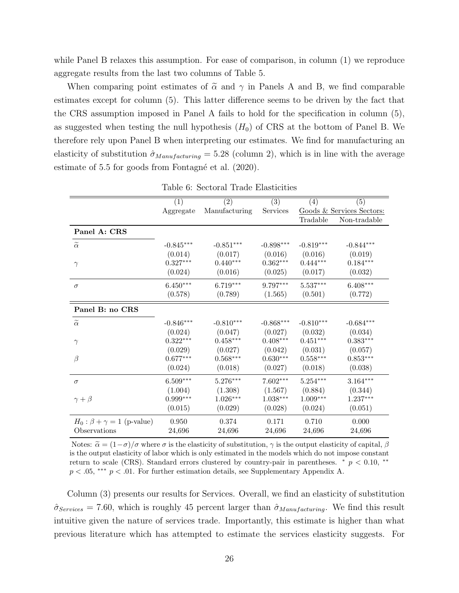while Panel B relaxes this assumption. For ease of comparison, in column (1) we reproduce aggregate results from the last two columns of Table [5.](#page-26-0)

When comparing point estimates of  $\tilde{\alpha}$  and  $\gamma$  in Panels A and B, we find comparable estimates except for column (5). This latter difference seems to be driven by the fact that the CRS assumption imposed in Panel A fails to hold for the specification in column (5), as suggested when testing the null hypothesis  $(H_0)$  of CRS at the bottom of Panel B. We therefore rely upon Panel B when interpreting our estimates. We find for manufacturing an elasticity of substitution  $\hat{\sigma}_{Mannifacturing} = 5.28$  (column 2), which is in line with the average estimate of  $5.5$  for goods from Fontagné et al.  $(2020)$ .

|                                     | (1)         | (2)                    | (3)         | (4)                    | (5)                       |
|-------------------------------------|-------------|------------------------|-------------|------------------------|---------------------------|
|                                     | Aggregate   | Manufacturing          | Services    |                        | Goods & Services Sectors: |
|                                     |             |                        |             | Tradable               | Non-tradable              |
| Panel A: CRS                        |             |                        |             |                        |                           |
| $\widetilde{\alpha}$                | $-0.845***$ | $-0.851***$            | $-0.898***$ | $-0.819***$            | $-0.844***$               |
|                                     | (0.014)     | (0.017)                | (0.016)     | (0.016)                | (0.019)                   |
| $\gamma$                            | $0.327***$  | $0.440***$             | $0.362***$  | $0.444^{***}\,$        | $0.184***$                |
|                                     | (0.024)     | (0.016)                | (0.025)     | (0.017)                | (0.032)                   |
| $\sigma$                            | $6.450***$  | $6.719***$             | 9.797***    | $5.537***$             | $6.408***$                |
|                                     | (0.578)     | (0.789)                | (1.565)     | (0.501)                | (0.772)                   |
| Panel B: no CRS                     |             |                        |             |                        |                           |
| $\widetilde{\alpha}$                | $-0.846***$ | $-0.810***$            | $-0.868***$ | $-0.810***$            | $-0.684***$               |
|                                     | (0.024)     | (0.047)                | (0.027)     | (0.032)                | (0.034)                   |
| $\gamma$                            | $0.322***$  | $0.458***$             | $0.408***$  | $0.451^{\ast\ast\ast}$ | $0.383***$                |
|                                     | (0.029)     | (0.027)                | (0.042)     | (0.031)                | (0.057)                   |
| $\beta$                             | $0.677***$  | $0.568^{\ast\ast\ast}$ | $0.630***$  | $0.558***$             | $0.853***$                |
|                                     | (0.024)     | (0.018)                | (0.027)     | (0.018)                | (0.038)                   |
| $\sigma$                            | $6.509***$  | $5.276***$             | $7.602***$  | $5.254^{\ast\ast\ast}$ | $3.164***$                |
|                                     | (1.004)     | (1.308)                | (1.567)     | (0.884)                | (0.344)                   |
| $\gamma+\beta$                      | $0.999***$  | $1.026***$             | $1.038***$  | $1.009***$             | $1.237***$                |
|                                     | (0.015)     | (0.029)                | (0.028)     | (0.024)                | (0.051)                   |
| $H_0: \beta + \gamma = 1$ (p-value) | 0.950       | 0.374                  | 0.171       | 0.710                  | 0.000                     |
| Observations                        | 24,696      | 24,696                 | 24,696      | 24,696                 | 24,696                    |

<span id="page-27-0"></span>Table 6: Sectoral Trade Elasticities

Notes:  $\tilde{\alpha} = (1 - \sigma)/\sigma$  where  $\sigma$  is the elasticity of substitution,  $\gamma$  is the output elasticity of capital,  $\beta$ is the output elasticity of labor which is only estimated in the models which do not impose constant  $\mu$ return to scale (CRS). Standard errors clustered by country-pair in parentheses.  $* p < 0.10$ , \*\*  $p < .05$ , \*\*\*  $p < .01$ . For further estimation details, see Supplementary Appendix [A.](#page-34-0)

Column (3) presents our results for Services. Overall, we find an elasticity of substitution  $\hat{\sigma}_{Services} = 7.60$ , which is roughly 45 percent larger than  $\hat{\sigma}_{Manufacturing}$ . We find this result intuitive given the nature of services trade. Importantly, this estimate is higher than what previous literature which has attempted to estimate the services elasticity suggests. For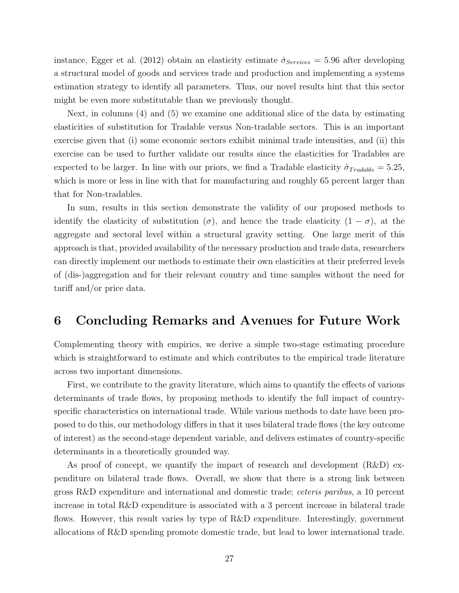instance, [Egger et al.](#page-31-9) [\(2012\)](#page-31-9) obtain an elasticity estimate  $\hat{\sigma}_{Serves} = 5.96$  after developing a structural model of goods and services trade and production and implementing a systems estimation strategy to identify all parameters. Thus, our novel results hint that this sector might be even more substitutable than we previously thought.

Next, in columns (4) and (5) we examine one additional slice of the data by estimating elasticities of substitution for Tradable versus Non-tradable sectors. This is an important exercise given that (i) some economic sectors exhibit minimal trade intensities, and (ii) this exercise can be used to further validate our results since the elasticities for Tradables are expected to be larger. In line with our priors, we find a Tradable elasticity  $\hat{\sigma}_{Tradable} = 5.25$ , which is more or less in line with that for manufacturing and roughly 65 percent larger than that for Non-tradables.

In sum, results in this section demonstrate the validity of our proposed methods to identify the elasticity of substitution  $(\sigma)$ , and hence the trade elasticity  $(1 - \sigma)$ , at the aggregate and sectoral level within a structural gravity setting. One large merit of this approach is that, provided availability of the necessary production and trade data, researchers can directly implement our methods to estimate their own elasticities at their preferred levels of (dis-)aggregation and for their relevant country and time samples without the need for tariff and/or price data.

# <span id="page-28-0"></span>6 Concluding Remarks and Avenues for Future Work

Complementing theory with empirics, we derive a simple two-stage estimating procedure which is straightforward to estimate and which contributes to the empirical trade literature across two important dimensions.

First, we contribute to the gravity literature, which aims to quantify the effects of various determinants of trade flows, by proposing methods to identify the full impact of countryspecific characteristics on international trade. While various methods to date have been proposed to do this, our methodology differs in that it uses bilateral trade flows (the key outcome of interest) as the second-stage dependent variable, and delivers estimates of country-specific determinants in a theoretically grounded way.

As proof of concept, we quantify the impact of research and development (R&D) expenditure on bilateral trade flows. Overall, we show that there is a strong link between gross R&D expenditure and international and domestic trade; ceteris paribus, a 10 percent increase in total R&D expenditure is associated with a 3 percent increase in bilateral trade flows. However, this result varies by type of R&D expenditure. Interestingly, government allocations of R&D spending promote domestic trade, but lead to lower international trade.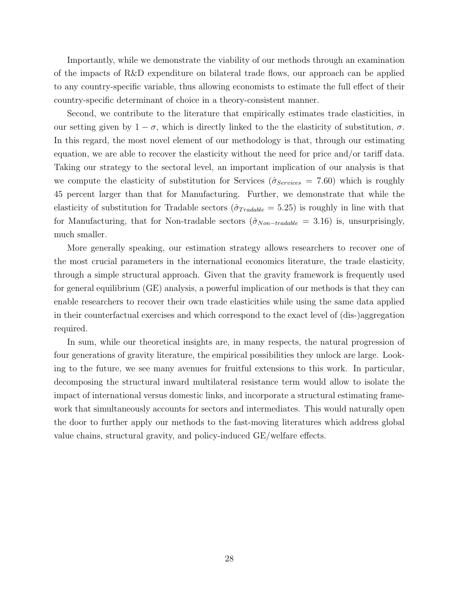Importantly, while we demonstrate the viability of our methods through an examination of the impacts of R&D expenditure on bilateral trade flows, our approach can be applied to any country-specific variable, thus allowing economists to estimate the full effect of their country-specific determinant of choice in a theory-consistent manner.

Second, we contribute to the literature that empirically estimates trade elasticities, in our setting given by  $1 - \sigma$ , which is directly linked to the the elasticity of substitution,  $\sigma$ . In this regard, the most novel element of our methodology is that, through our estimating equation, we are able to recover the elasticity without the need for price and/or tariff data. Taking our strategy to the sectoral level, an important implication of our analysis is that we compute the elasticity of substitution for Services ( $\hat{\sigma}_{Services} = 7.60$ ) which is roughly 45 percent larger than that for Manufacturing. Further, we demonstrate that while the elasticity of substitution for Tradable sectors ( $\hat{\sigma}_{Tradable} = 5.25$ ) is roughly in line with that for Manufacturing, that for Non-tradable sectors  $(\hat{\sigma}_{Non-tradable} = 3.16)$  is, unsurprisingly, much smaller.

More generally speaking, our estimation strategy allows researchers to recover one of the most crucial parameters in the international economics literature, the trade elasticity, through a simple structural approach. Given that the gravity framework is frequently used for general equilibrium (GE) analysis, a powerful implication of our methods is that they can enable researchers to recover their own trade elasticities while using the same data applied in their counterfactual exercises and which correspond to the exact level of (dis-)aggregation required.

In sum, while our theoretical insights are, in many respects, the natural progression of four generations of gravity literature, the empirical possibilities they unlock are large. Looking to the future, we see many avenues for fruitful extensions to this work. In particular, decomposing the structural inward multilateral resistance term would allow to isolate the impact of international versus domestic links, and incorporate a structural estimating framework that simultaneously accounts for sectors and intermediates. This would naturally open the door to further apply our methods to the fast-moving literatures which address global value chains, structural gravity, and policy-induced GE/welfare effects.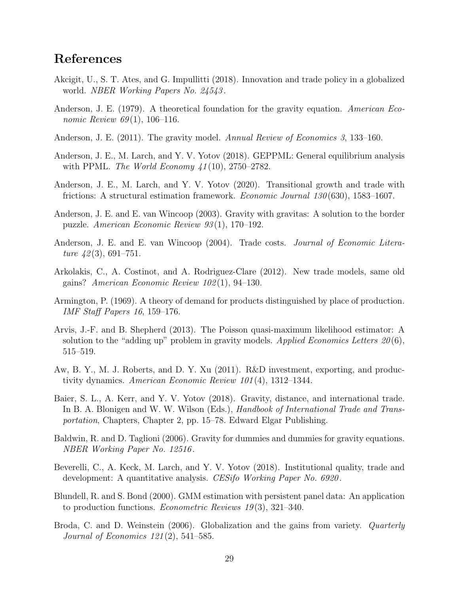# References

- <span id="page-30-8"></span>Akcigit, U., S. T. Ates, and G. Impullitti (2018). Innovation and trade policy in a globalized world. NBER Working Papers No. 24543 .
- <span id="page-30-3"></span>Anderson, J. E. (1979). A theoretical foundation for the gravity equation. American Economic Review  $69(1)$ , 106-116.
- <span id="page-30-9"></span>Anderson, J. E. (2011). The gravity model. Annual Review of Economics 3, 133-160.
- <span id="page-30-14"></span>Anderson, J. E., M. Larch, and Y. V. Yotov (2018). GEPPML: General equilibrium analysis with PPML. The World Economy  $41(10)$ , 2750–2782.
- <span id="page-30-5"></span>Anderson, J. E., M. Larch, and Y. V. Yotov (2020). Transitional growth and trade with frictions: A structural estimation framework. Economic Journal 130 (630), 1583–1607.
- <span id="page-30-2"></span>Anderson, J. E. and E. van Wincoop (2003). Gravity with gravitas: A solution to the border puzzle. American Economic Review 93 (1), 170–192.
- <span id="page-30-4"></span>Anderson, J. E. and E. van Wincoop (2004). Trade costs. *Journal of Economic Litera*ture  $42(3)$ , 691–751.
- <span id="page-30-0"></span>Arkolakis, C., A. Costinot, and A. Rodriguez-Clare (2012). New trade models, same old gains? American Economic Review 102 (1), 94–130.
- <span id="page-30-12"></span>Armington, P. (1969). A theory of demand for products distinguished by place of production. IMF Staff Papers 16, 159–176.
- <span id="page-30-13"></span>Arvis, J.-F. and B. Shepherd (2013). The Poisson quasi-maximum likelihood estimator: A solution to the "adding up" problem in gravity models. Applied Economics Letters  $20(6)$ , 515–519.
- <span id="page-30-7"></span>Aw, B. Y., M. J. Roberts, and D. Y. Xu (2011). R&D investment, exporting, and productivity dynamics. American Economic Review 101 (4), 1312–1344.
- <span id="page-30-10"></span>Baier, S. L., A. Kerr, and Y. V. Yotov (2018). Gravity, distance, and international trade. In B. A. Blonigen and W. W. Wilson (Eds.), *Handbook of International Trade and Trans*portation, Chapters, Chapter 2, pp. 15–78. Edward Elgar Publishing.
- <span id="page-30-6"></span>Baldwin, R. and D. Taglioni (2006). Gravity for dummies and dummies for gravity equations. NBER Working Paper No. 12516 .
- <span id="page-30-1"></span>Beverelli, C., A. Keck, M. Larch, and Y. V. Yotov (2018). Institutional quality, trade and development: A quantitative analysis. CESifo Working Paper No. 6920.
- <span id="page-30-15"></span>Blundell, R. and S. Bond (2000). GMM estimation with persistent panel data: An application to production functions. *Econometric Reviews 19* $(3)$ , 321–340.
- <span id="page-30-11"></span>Broda, C. and D. Weinstein (2006). Globalization and the gains from variety. *Quarterly* Journal of Economics 121 (2), 541–585.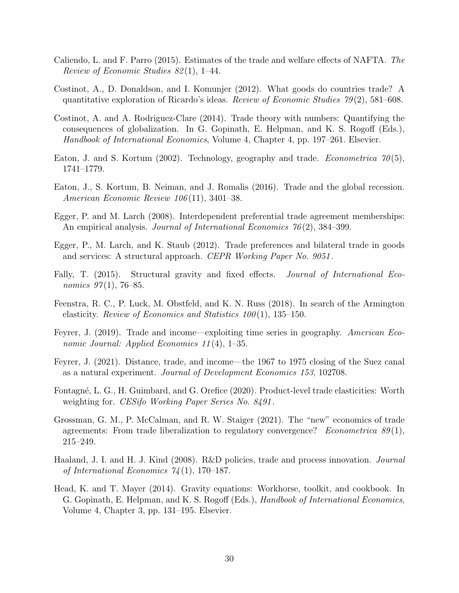- <span id="page-31-10"></span>Caliendo, L. and F. Parro (2015). Estimates of the trade and welfare effects of NAFTA. The Review of Economic Studies 82 (1), 1–44.
- <span id="page-31-4"></span>Costinot, A., D. Donaldson, and I. Komunjer (2012). What goods do countries trade? A quantitative exploration of Ricardo's ideas. Review of Economic Studies  $79(2)$ , 581–608.
- <span id="page-31-0"></span>Costinot, A. and A. Rodriguez-Clare (2014). Trade theory with numbers: Quantifying the consequences of globalization. In G. Gopinath, E. Helpman, and K. S. Rogoff (Eds.), Handbook of International Economics, Volume 4, Chapter 4, pp. 197–261. Elsevier.
- <span id="page-31-3"></span>Eaton, J. and S. Kortum (2002). Technology, geography and trade. *Econometrica* 70(5), 1741–1779.
- <span id="page-31-5"></span>Eaton, J., S. Kortum, B. Neiman, and J. Romalis (2016). Trade and the global recession. American Economic Review 106 (11), 3401–38.
- <span id="page-31-14"></span>Egger, P. and M. Larch (2008). Interdependent preferential trade agreement memberships: An empirical analysis. *Journal of International Economics 76* (2), 384–399.
- <span id="page-31-9"></span>Egger, P., M. Larch, and K. Staub (2012). Trade preferences and bilateral trade in goods and services: A structural approach. CEPR Working Paper No. 9051 .
- <span id="page-31-13"></span>Fally, T. (2015). Structural gravity and fixed effects. *Journal of International Eco*nomics  $97(1)$ , 76–85.
- <span id="page-31-11"></span>Feenstra, R. C., P. Luck, M. Obstfeld, and K. N. Russ (2018). In search of the Armington elasticity. Review of Economics and Statistics  $100(1)$ , 135–150.
- <span id="page-31-6"></span>Feyrer, J. (2019). Trade and income—exploiting time series in geography. American Economic Journal: Applied Economics 11(4), 1–35.
- <span id="page-31-7"></span>Feyrer, J. (2021). Distance, trade, and income—the 1967 to 1975 closing of the Suez canal as a natural experiment. Journal of Development Economics 153, 102708.
- <span id="page-31-12"></span>Fontagné, L. G., H. Guimbard, and G. Orefice (2020). Product-level trade elasticities: Worth weighting for. CESifo Working Paper Series No. 8491 .
- <span id="page-31-2"></span>Grossman, G. M., P. McCalman, and R. W. Staiger (2021). The "new" economics of trade agreements: From trade liberalization to regulatory convergence? *Econometrica*  $89(1)$ , 215–249.
- <span id="page-31-8"></span>Haaland, J. I. and H. J. Kind (2008). R&D policies, trade and process innovation. Journal of International Economics  $74(1)$ , 170–187.
- <span id="page-31-1"></span>Head, K. and T. Mayer (2014). Gravity equations: Workhorse, toolkit, and cookbook. In G. Gopinath, E. Helpman, and K. S. Rogoff (Eds.), *Handbook of International Economics*, Volume 4, Chapter 3, pp. 131–195. Elsevier.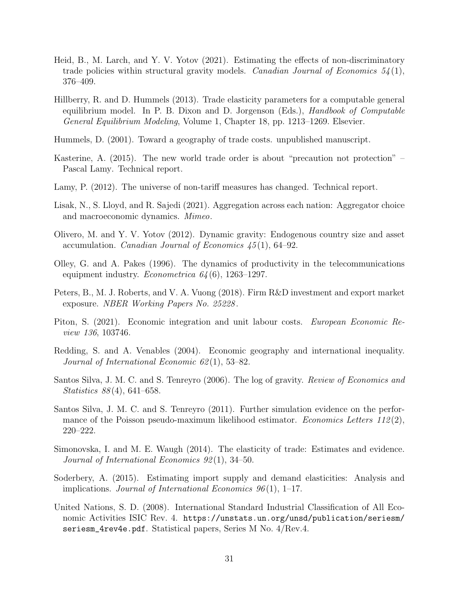- <span id="page-32-0"></span>Heid, B., M. Larch, and Y. V. Yotov (2021). Estimating the effects of non-discriminatory trade policies within structural gravity models. Canadian Journal of Economics  $54(1)$ , 376–409.
- <span id="page-32-7"></span>Hillberry, R. and D. Hummels (2013). Trade elasticity parameters for a computable general equilibrium model. In P. B. Dixon and D. Jorgenson (Eds.), Handbook of Computable General Equilibrium Modeling, Volume 1, Chapter 18, pp. 1213–1269. Elsevier.
- <span id="page-32-1"></span>Hummels, D. (2001). Toward a geography of trade costs. unpublished manuscript.
- <span id="page-32-3"></span>Kasterine, A. (2015). The new world trade order is about "precaution not protection" – Pascal Lamy. Technical report.
- <span id="page-32-2"></span>Lamy, P. (2012). The universe of non-tariff measures has changed. Technical report.
- <span id="page-32-13"></span>Lisak, N., S. Lloyd, and R. Sajedi (2021). Aggregation across each nation: Aggregator choice and macroeconomic dynamics. Mimeo.
- <span id="page-32-5"></span>Olivero, M. and Y. V. Yotov (2012). Dynamic gravity: Endogenous country size and asset accumulation. Canadian Journal of Economics 45 (1), 64–92.
- <span id="page-32-12"></span>Olley, G. and A. Pakes (1996). The dynamics of productivity in the telecommunications equipment industry. *Econometrica*  $64(6)$ , 1263–1297.
- <span id="page-32-6"></span>Peters, B., M. J. Roberts, and V. A. Vuong (2018). Firm R&D investment and export market exposure. NBER Working Papers No. 25228 .
- <span id="page-32-14"></span>Piton, S. (2021). Economic integration and unit labour costs. European Economic Review 136, 103746.
- <span id="page-32-4"></span>Redding, S. and A. Venables (2004). Economic geography and international inequality. Journal of International Economic  $62(1)$ , 53–82.
- <span id="page-32-10"></span>Santos Silva, J. M. C. and S. Tenreyro (2006). The log of gravity. Review of Economics and Statistics 88 (4), 641–658.
- <span id="page-32-11"></span>Santos Silva, J. M. C. and S. Tenreyro (2011). Further simulation evidence on the performance of the Poisson pseudo-maximum likelihood estimator. *Economics Letters*  $112(2)$ , 220–222.
- <span id="page-32-8"></span>Simonovska, I. and M. E. Waugh (2014). The elasticity of trade: Estimates and evidence. Journal of International Economics 92 (1), 34–50.
- <span id="page-32-9"></span>Soderbery, A. (2015). Estimating import supply and demand elasticities: Analysis and implications. Journal of International Economics  $96(1)$ , 1–17.
- <span id="page-32-15"></span>United Nations, S. D. (2008). International Standard Industrial Classification of All Economic Activities ISIC Rev. 4. [https://unstats.un.org/unsd/publication/seriesm/](https://unstats.un.org/unsd/publication/seriesm/seriesm_4rev4e.pdf) [seriesm\\_4rev4e.pdf](https://unstats.un.org/unsd/publication/seriesm/seriesm_4rev4e.pdf). Statistical papers, Series M No. 4/Rev.4.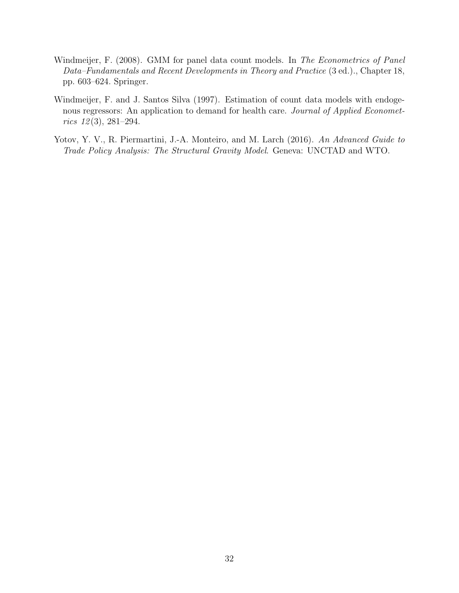- <span id="page-33-2"></span>Windmeijer, F. (2008). GMM for panel data count models. In The Econometrics of Panel Data–Fundamentals and Recent Developments in Theory and Practice (3 ed.)., Chapter 18, pp. 603–624. Springer.
- <span id="page-33-1"></span>Windmeijer, F. and J. Santos Silva (1997). Estimation of count data models with endogenous regressors: An application to demand for health care. Journal of Applied Economet $rics$   $12(3), 281-294.$
- <span id="page-33-0"></span>Yotov, Y. V., R. Piermartini, J.-A. Monteiro, and M. Larch (2016). An Advanced Guide to Trade Policy Analysis: The Structural Gravity Model. Geneva: UNCTAD and WTO.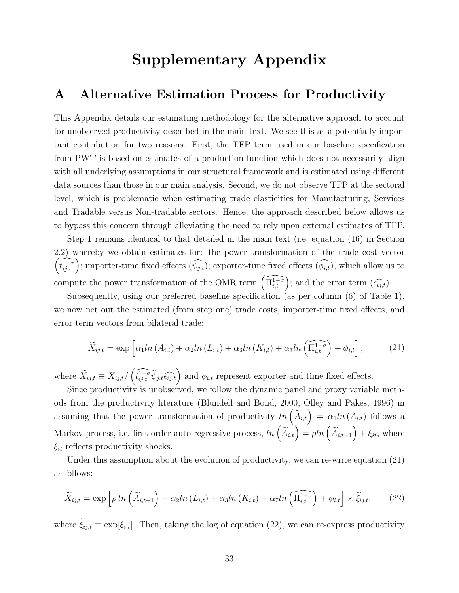# Supplementary Appendix

## <span id="page-34-0"></span>A Alternative Estimation Process for Productivity

This Appendix details our estimating methodology for the alternative approach to account for unobserved productivity described in the main text. We see this as a potentially important contribution for two reasons. First, the TFP term used in our baseline specification from PWT is based on estimates of a production function which does not necessarily align with all underlying assumptions in our structural framework and is estimated using different data sources than those in our main analysis. Second, we do not observe TFP at the sectoral level, which is problematic when estimating trade elasticities for Manufacturing, Services and Tradable versus Non-tradable sectors. Hence, the approach described below allows us to bypass this concern through alleviating the need to rely upon external estimates of TFP.

Step 1 remains identical to that detailed in the main text (i.e. equation [\(16\)](#page-10-1) in Section [2.2\)](#page-10-2) whereb y we obtain estimates for: the power transformation of the trade cost vector  $\left(\widehat{t_{i j,t}^{1-\sigma}}\right)$ ; importer-time fixed effects  $(\widehat{\psi_{j,t}})$ ; exporter-time fixed effects  $(\widehat{\phi_{i,t}})$ , which allow us to compute the power transformation of the OMR term  $\left(\widehat{\Pi_{i,t}^{1-\sigma}}\right)$ ; and the error term  $(\widehat{\epsilon_{ij,t}})$ .

Subsequently, using our preferred baseline specification (as per column (6) of Table [1\)](#page-15-0), we now net out the estimated (from step one) trade costs, importer-time fixed effects, and error term vectors from bilateral trade:

<span id="page-34-1"></span>
$$
\widetilde{X}_{ij,t} = \exp\left[\alpha_1 ln\left(A_{i,t}\right) + \alpha_2 ln\left(L_{i,t}\right) + \alpha_3 ln\left(K_{i,t}\right) + \alpha_7 ln\left(\widehat{\Pi_{i,t}^{1-\sigma}}\right) + \phi_{i,t}\right],\tag{21}
$$

where  $\widetilde{X}_{ij,t} \equiv X_{ij,t} / (\widehat{t_{ij,t}^{1-\sigma} \hat{\psi}_{j,t} \widehat{\epsilon_{ij,t}}})$  and  $\phi_{i,t}$  represent exporter and time fixed effects.

Since productivity is unobserved, we follow the dynamic panel and proxy variable meth-ods from the productivity literature [\(Blundell and Bond, 2000;](#page-30-15) Olle[y and Pakes, 1996\)](#page-32-12) in assuming that the power transformation of productivity  $ln\left(\tilde{A}_{i,t}\right) = \alpha_1 ln\left(A_{i,t}\right)$  follows a Markov process, i.e. first order auto-regressive process,  $ln(\widetilde{A}_{i,t}) = \rho ln(\widetilde{A}_{i,t-1}) + \xi_{it}$ , where  $\xi_{it}$  reflects productivity shocks.

Under this assumption about the evolution of productivity, we can re-write equation [\(21\)](#page-34-1) as follows:

<span id="page-34-2"></span>
$$
\widetilde{X}_{ij,t} = \exp\left[\rho \ln\left(\widetilde{A}_{i,t-1}\right) + \alpha_2 \ln\left(L_{i,t}\right) + \alpha_3 \ln\left(K_{i,t}\right) + \alpha_7 \ln\left(\widehat{\Pi_{i,t}^{1-\sigma}}\right) + \phi_{i,t}\right] \times \widetilde{\xi}_{ij,t},\tag{22}
$$

where  $\tilde{\xi}_{ij,t} \equiv \exp[\xi_{i,t}]$ . Then, taking the log of equation [\(22\)](#page-34-2), we can re-express productivity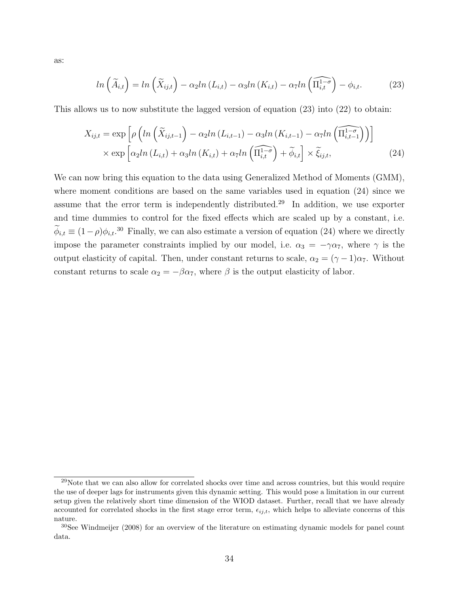<span id="page-35-1"></span><span id="page-35-0"></span>
$$
ln\left(\widetilde{A}_{i,t}\right) = ln\left(\widetilde{X}_{ij,t}\right) - \alpha_2 ln\left(L_{i,t}\right) - \alpha_3 ln\left(K_{i,t}\right) - \alpha_7 ln\left(\widehat{\Pi_{i,t}^{1-\sigma}}\right) - \phi_{i,t}.
$$
 (23)

This allows us to now substitute the lagged version of equation [\(23\)](#page-35-0) into [\(22\)](#page-34-2) to obtain:

$$
X_{ij,t} = \exp\left[\rho\left(ln\left(\widetilde{X}_{ij,t-1}\right) - \alpha_2 ln\left(L_{i,t-1}\right) - \alpha_3 ln\left(K_{i,t-1}\right) - \alpha_7 ln\left(\widetilde{\Pi_{i,t-1}^{1-\sigma}}\right)\right)\right]
$$

$$
\times \exp\left[\alpha_2 ln\left(L_{i,t}\right) + \alpha_3 ln\left(K_{i,t}\right) + \alpha_7 ln\left(\widetilde{\Pi_{i,t}^{1-\sigma}}\right) + \widetilde{\phi}_{i,t}\right] \times \widetilde{\xi}_{ij,t},\tag{24}
$$

We can now bring this equation to the data using Generalized Method of Moments (GMM), where moment conditions are based on the same variables used in equation [\(24\)](#page-35-1) since we assume that the error term is independently distributed.[29](#page-2-0) In addition, we use exporter and time dummies to control for the fixed effects which are scaled up by a constant, i.e.  $\phi_{i,t} \equiv (1-\rho)\phi_{i,t}^{30}$  $\phi_{i,t} \equiv (1-\rho)\phi_{i,t}^{30}$  $\phi_{i,t} \equiv (1-\rho)\phi_{i,t}^{30}$  Finally, we can also estimate a version of equation [\(24\)](#page-35-1) where we directly impose the parameter constraints implied by our model, i.e.  $\alpha_3 = -\gamma \alpha_7$ , where  $\gamma$  is the output elasticity of capital. Then, under constant returns to scale,  $\alpha_2 = (\gamma - 1)\alpha_7$ . Without constant returns to scale  $\alpha_2 = -\beta \alpha_7$ , where  $\beta$  is the output elasticity of labor.

as:

 $^{29}$ Note that we can also allow for correlated shocks over time and across countries, but this would require the use of deeper lags for instruments given this dynamic setting. This would pose a limitation in our current setup given the relatively short time dimension of the WIOD dataset. Further, recall that we have already accounted for correlated shocks in the first stage error term,  $\epsilon_{ij,t}$ , which helps to alleviate concerns of this nature.

<sup>30</sup>See [Windmeijer](#page-33-2) [\(2008\)](#page-33-2) for an overview of the literature on estimating dynamic models for panel count data.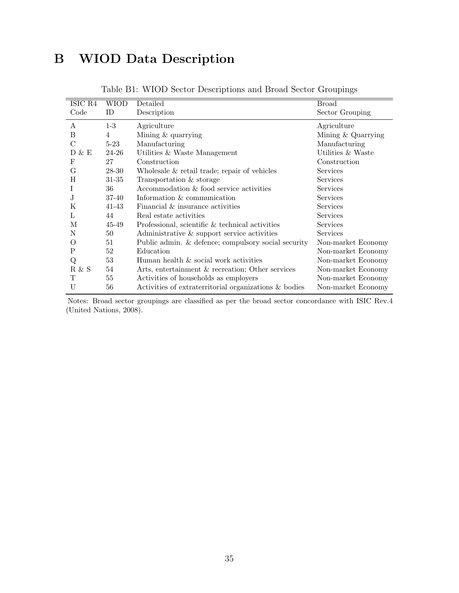# B WIOD Data Description

|               | ISIC R4 | WIOD      | Detailed                                              | <b>Broad</b>         |
|---------------|---------|-----------|-------------------------------------------------------|----------------------|
|               | Code    | ID        | Description                                           | Sector Grouping      |
|               | A       | $1-3$     | Agriculture                                           | Agriculture          |
| B             |         | 4         | Mining & quarrying                                    | Mining $&$ Quarrying |
| $\mathcal{C}$ |         | $5-23$    | Manufacturing                                         | Manufacturing        |
|               | D & E   | 24-26     | Utilities & Waste Management                          | Utilities & Waste    |
| F             |         | 27        | Construction                                          | Construction         |
| G             |         | 28-30     | Wholesale & retail trade; repair of vehicles          | Services             |
| H             |         | 31-35     | Transportation & storage                              | <b>Services</b>      |
|               |         | 36        | Accommodation & food service activities               | Services             |
| J.            |         | $37 - 40$ | Information & communication                           | <b>Services</b>      |
| K             |         | $41 - 43$ | Financial & insurance activities                      | <b>Services</b>      |
| L             |         | 44        | Real estate activities                                | Services             |
|               | М       | 45-49     | Professional, scientific & technical activities       | Services             |
| N             |         | 50        | Administrative & support service activities           | Services             |
| O             |         | 51        | Public admin. & defence; compulsory social security   | Non-market Economy   |
| P             |         | 52        | Education                                             | Non-market Economy   |
|               | Q       | 53        | Human health & social work activities                 | Non-market Economy   |
|               | R & S   | 54        | Arts, entertainment & recreation; Other services      | Non-market Economy   |
|               | Т       | 55        | Activities of households as employers                 | Non-market Economy   |
| U             |         | 56        | Activities of extraterritorial organizations & bodies | Non-market Economy   |
|               |         |           |                                                       |                      |

Table B1: WIOD Sector Descriptions and Broad Sector Groupings

Notes: Broad sector groupings are classified as per the broad sector concordance with ISIC Rev.4 [\(United Nations, 2008\)](#page-32-15).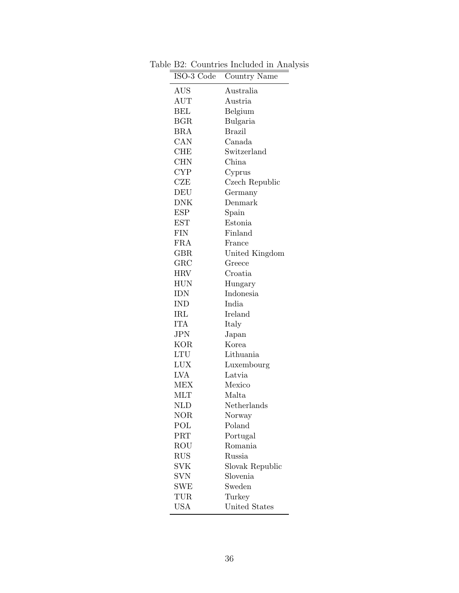| ISO-3 Code           | Country Name    |
|----------------------|-----------------|
| $\operatorname{AUS}$ | Australia       |
| AUT                  | Austria         |
| BEL                  | Belgium         |
| <b>BGR</b>           | Bulgaria        |
| BRA                  | Brazil          |
| CAN                  | Canada          |
| <b>CHE</b>           | Switzerland     |
| <b>CHN</b>           | China           |
| <b>CYP</b>           | Cyprus          |
| CZE                  | Czech Republic  |
| DEU                  | Germany         |
| DNK                  | Denmark         |
| ESP                  | Spain           |
| <b>EST</b>           | Estonia         |
| FIN                  | Finland         |
| <b>FRA</b>           | France          |
| <b>GBR</b>           | United Kingdom  |
| ${\rm GRC}$          | Greece          |
| <b>HRV</b>           | Croatia         |
| <b>HUN</b>           | Hungary         |
| IDN                  | Indonesia       |
| IND                  | India           |
| $\operatorname{IRL}$ | Ireland         |
| <b>ITA</b>           | Italy           |
| <b>JPN</b>           | Japan           |
| <b>KOR</b>           | Korea           |
| LTU                  | Lithuania       |
| <b>LUX</b>           | Luxembourg      |
| LVA                  | Latvia          |
| MEX                  | Mexico          |
| MLT                  | Malta           |
| <b>NLD</b>           | Netherlands     |
| NOR                  | Norway          |
| POL                  | Poland          |
| PRT                  | Portugal        |
| ROU                  | Romania         |
| <b>RUS</b>           | <b>Russia</b>   |
| SVK                  | Slovak Republic |
| <b>SVN</b>           | Slovenia        |
| <b>SWE</b>           | Sweden          |
| TUR                  | Turkey          |
| <b>USA</b>           | United States   |

Table B2: Countries Included in Analysis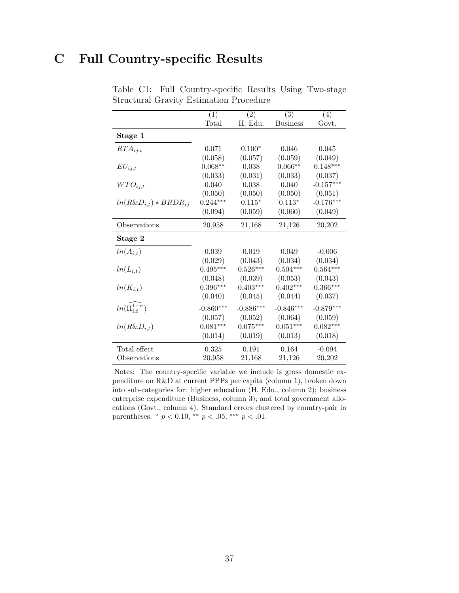# <span id="page-38-0"></span>C Full Country-specific Results

|                                      | $\overline{(1)}$ | $\overline{(2)}$ | $\overline{(3)}$ | $\overline{(4)}$ |
|--------------------------------------|------------------|------------------|------------------|------------------|
|                                      | $\text{Total}$   | H. Edu.          | <b>Business</b>  | Govt.            |
| Stage 1                              |                  |                  |                  |                  |
| $RTA_{ij,t}$                         | 0.071            | $0.100*$         | 0.046            | 0.045            |
|                                      | (0.058)          | (0.057)          | (0.059)          | (0.049)          |
| $EU_{ij,t}$                          | $0.068**$        | 0.038            | $0.066**$        | $0.148***$       |
|                                      | (0.033)          | (0.031)          | (0.033)          | (0.037)          |
| $WTO_{ij,t}$                         | 0.040            | 0.038            | 0.040            | $-0.157***$      |
|                                      | (0.050)          | (0.050)          | (0.050)          | (0.051)          |
| $ln(R\&D_{i,t}) * BRDR_{ij}$         | $0.244***$       | $0.115*$         | $0.113*$         | $-0.176***$      |
|                                      | (0.094)          | (0.059)          | (0.060)          | (0.049)          |
| Observations                         | 20,958           | 21,168           | 21,126           | 20,202           |
| Stage 2                              |                  |                  |                  |                  |
| $ln(A_{i,t})$                        | 0.039            | 0.019            | 0.049            | $-0.006$         |
|                                      | (0.029)          | (0.043)          | (0.034)          | (0.034)          |
| $ln(L_{i,t})$                        | $0.495***$       | $0.526***$       | $0.504***$       | $0.564***$       |
|                                      | (0.048)          | (0.039)          | (0.053)          | (0.043)          |
| $ln(K_{i,t})$                        | $0.396***$       | $0.403***$       | $0.402***$       | $0.366***$       |
|                                      | (0.040)          | (0.045)          | (0.044)          | (0.037)          |
| $ln(\widehat{\Pi}_{i,t}^{1-\sigma})$ | $-0.860***$      | $-0.886***$      | $-0.846***$      | $-0.879***$      |
|                                      | (0.057)          | (0.052)          | (0.064)          | (0.059)          |
| $ln(R\&D_{i,t})$                     | $0.081***$       | $0.075***$       | $0.051***$       | $0.082***$       |
|                                      | (0.014)          | (0.019)          | (0.013)          | (0.018)          |
| Total effect                         | 0.325            | 0.191            | 0.164            | $-0.094$         |
| Observations                         | 20,958           | 21,168           | 21,126           | 20,202           |

Table C1: Full Country-specific Results Using Two-stage Structural Gravity Estimation Procedure

Notes: The country-specific variable we include is gross domestic expenditure on R&D at current PPPs per capita (column 1), broken down into sub-categories for: higher education (H. Edu., column 2); business enterprise expenditure (Business, column 3); and total government allocations (Govt., column 4). Standard errors clustered by country-pair in parentheses.  $*$   $p < 0.10$ ,  $**$   $p < .05$ ,  $***$   $p < .01$ .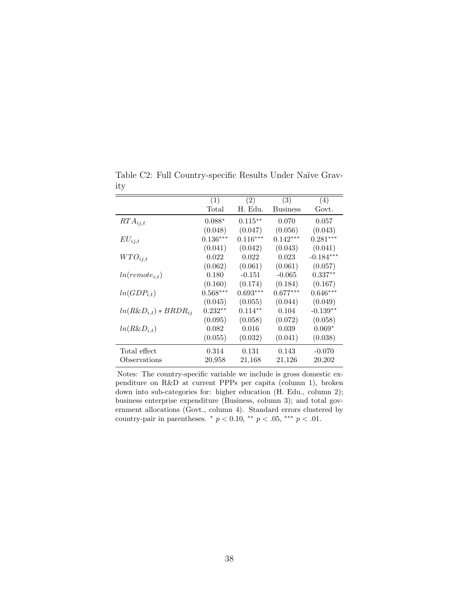|                              | (1)        | (2)        | (3)             | (4)         |
|------------------------------|------------|------------|-----------------|-------------|
|                              | Total      | H. Edu.    | <b>Business</b> | Govt.       |
| $RTA_{i,j,t}$                | $0.088*$   | $0.115***$ | 0.070           | 0.057       |
|                              | (0.048)    | (0.047)    | (0.056)         | (0.043)     |
| $EU_{ij,t}$                  | $0.136***$ | $0.116***$ | $0.142***$      | $0.281***$  |
|                              | (0.041)    | (0.042)    | (0.043)         | (0.041)     |
| $WTO_{i,j,t}$                | 0.022      | 0.022      | 0.023           | $-0.184***$ |
|                              | (0.062)    | (0.061)    | (0.061)         | (0.057)     |
| $ln(remote_{i,t})$           | 0.180      | $-0.151$   | $-0.065$        | $0.337**$   |
|                              | (0.160)    | (0.174)    | (0.184)         | (0.167)     |
| $ln(GDP_{i,t})$              | $0.568***$ | $0.693***$ | $0.677***$      | $0.646***$  |
|                              | (0.045)    | (0.055)    | (0.044)         | (0.049)     |
| $ln(R\&D_{i,t}) * BRDR_{ij}$ | $0.232**$  | $0.114**$  | 0.104           | $-0.139**$  |
|                              | (0.095)    | (0.058)    | (0.072)         | (0.058)     |
| $ln(R\&D_{i,t})$             | 0.082      | 0.016      | 0.039           | $0.069*$    |
|                              | (0.055)    | (0.032)    | (0.041)         | (0.038)     |
| Total effect                 | 0.314      | 0.131      | 0.143           | $-0.070$    |
| Observations                 | 20,958     | 21,168     | 21,126          | 20,202      |

Table C2: Full Country-specific Results Under Naïve Gravity

Notes: The country-specific variable we include is gross domestic expenditure on R&D at current PPPs per capita (column 1), broken down into sub-categories for: higher education (H. Edu., column 2); business enterprise expenditure (Business, column 3); and total government allocations (Govt., column 4). Standard errors clustered by country-pair in parentheses. \* $p<0.10,$ \*\* $p<.05,$ \*\*\* $p<.01.$